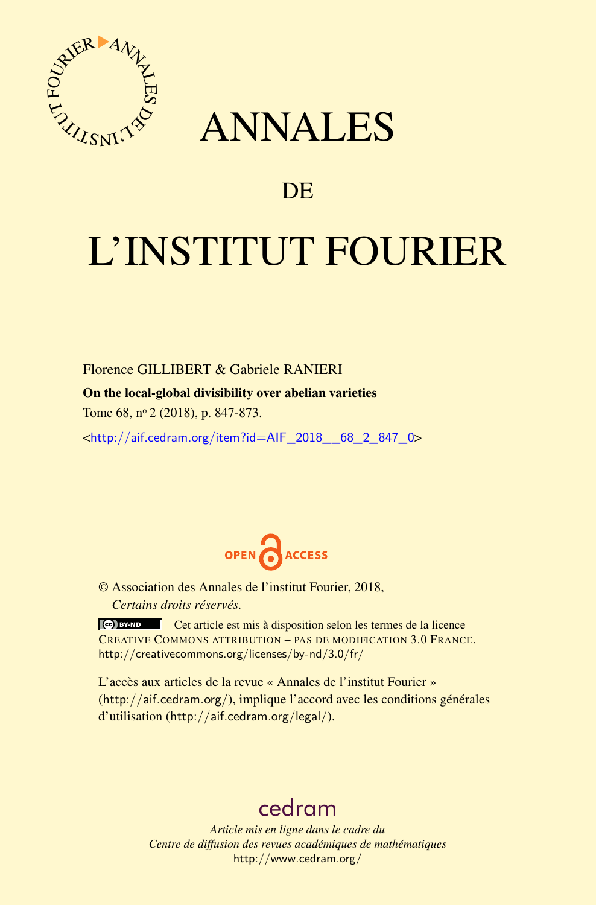

## ANNALES

### **DE**

# L'INSTITUT FOURIER

Florence GILLIBERT & Gabriele RANIERI

#### On the local-global divisibility over abelian varieties

Tome 68, n<sup>o</sup> 2 (2018), p. 847-873.

<[http://aif.cedram.org/item?id=AIF\\_2018\\_\\_68\\_2\\_847\\_0](http://aif.cedram.org/item?id=AIF_2018__68_2_847_0)>



© Association des Annales de l'institut Fourier, 2018, *Certains droits réservés.*

Cet article est mis à disposition selon les termes de la licence CREATIVE COMMONS ATTRIBUTION – PAS DE MODIFICATION 3.0 FRANCE. <http://creativecommons.org/licenses/by-nd/3.0/fr/>

L'accès aux articles de la revue « Annales de l'institut Fourier » (<http://aif.cedram.org/>), implique l'accord avec les conditions générales d'utilisation (<http://aif.cedram.org/legal/>).

## [cedram](http://www.cedram.org/)

*Article mis en ligne dans le cadre du Centre de diffusion des revues académiques de mathématiques* <http://www.cedram.org/>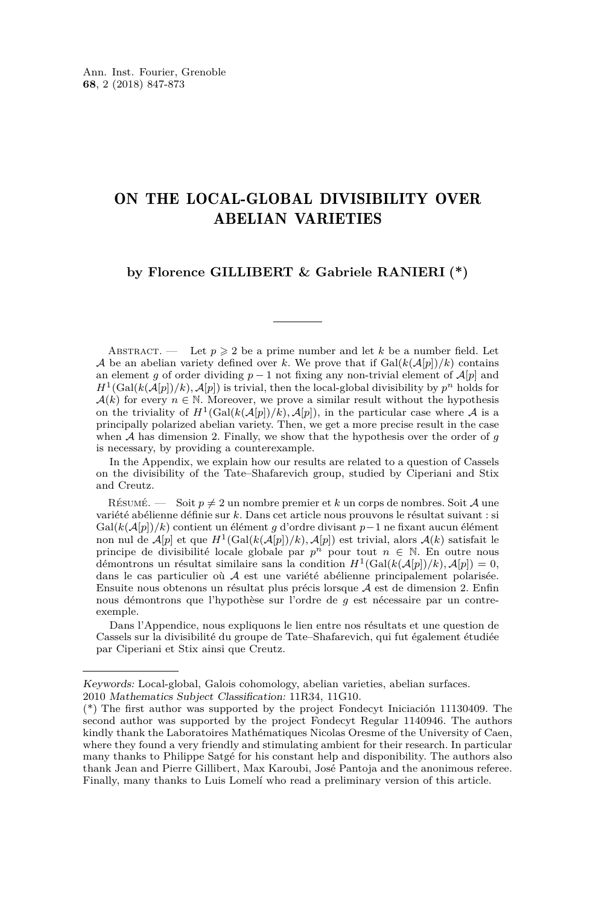#### ON THE LOCAL-GLOBAL DIVISIBILITY OVER ABELIAN VARIETIES

#### **by Florence GILLIBERT & Gabriele RANIERI (\*)**

ABSTRACT. — Let  $p \geqslant 2$  be a prime number and let k be a number field. Let A be an abelian variety defined over *k*. We prove that if  $Gal(k(\mathcal{A}[p])/k)$  contains an element *g* of order dividing  $p-1$  not fixing any non-trivial element of  $\mathcal{A}[p]$  and  $H^1(\text{Gal}(k(\mathcal{A}[p])/k), \mathcal{A}[p])$  is trivial, then the local-global divisibility by  $p^n$  holds for  $\mathcal{A}(k)$  for every  $n \in \mathbb{N}$ . Moreover, we prove a similar result without the hypothesis on the triviality of  $H^1(\text{Gal}(k(\mathcal{A}[p])/k), \mathcal{A}[p])$ , in the particular case where  $\mathcal A$  is a principally polarized abelian variety. Then, we get a more precise result in the case when A has dimension 2. Finally, we show that the hypothesis over the order of *g* is necessary, by providing a counterexample.

In the Appendix, we explain how our results are related to a question of Cassels on the divisibility of the Tate–Shafarevich group, studied by Ciperiani and Stix and Creutz.

RÉSUMÉ. — Soit  $p \neq 2$  un nombre premier et *k* un corps de nombres. Soit *A* une variété abélienne définie sur *k*. Dans cet article nous prouvons le résultat suivant : si Gal(*k*(A[*p*])*/k*) contient un élément *g* d'ordre divisant *p*−1 ne fixant aucun élément non nul de  $\mathcal{A}[p]$  et que  $H^1(\text{Gal}(k(\mathcal{A}[p])/k), \mathcal{A}[p])$  est trivial, alors  $\mathcal{A}(k)$  satisfait le principe de divisibilité locale globale par  $p^n$  pour tout  $n \in \mathbb{N}$ . En outre nous démontrons un résultat similaire sans la condition  $H^1(\text{Gal}(k(\mathcal{A}[p])/k), \mathcal{A}[p]) = 0,$ dans le cas particulier où A est une variété abélienne principalement polarisée. Ensuite nous obtenons un résultat plus précis lorsque A est de dimension 2. Enfin nous démontrons que l'hypothèse sur l'ordre de *g* est nécessaire par un contreexemple.

Dans l'Appendice, nous expliquons le lien entre nos résultats et une question de Cassels sur la divisibilité du groupe de Tate–Shafarevich, qui fut également étudiée par Ciperiani et Stix ainsi que Creutz.

Keywords: Local-global, Galois cohomology, abelian varieties, abelian surfaces.

<sup>2010</sup> Mathematics Subject Classification: 11R34, 11G10.

<sup>(\*)</sup> The first author was supported by the project Fondecyt Iniciación 11130409. The second author was supported by the project Fondecyt Regular 1140946. The authors kindly thank the Laboratoires Mathématiques Nicolas Oresme of the University of Caen, where they found a very friendly and stimulating ambient for their research. In particular many thanks to Philippe Satgé for his constant help and disponibility. The authors also thank Jean and Pierre Gillibert, Max Karoubi, José Pantoja and the anonimous referee. Finally, many thanks to Luis Lomelí who read a preliminary version of this article.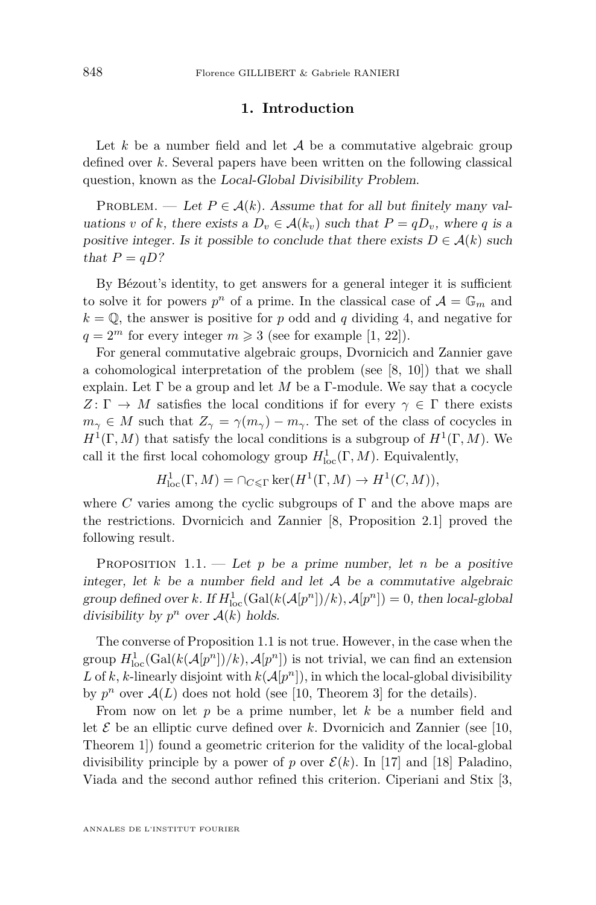#### **1. Introduction**

Let  $k$  be a number field and let  $A$  be a commutative algebraic group defined over *k*. Several papers have been written on the following classical question, known as the Local-Global Divisibility Problem.

PROBLEM. — Let  $P \in \mathcal{A}(k)$ . Assume that for all but finitely many valuations *v* of *k*, there exists a  $D_v \in \mathcal{A}(k_v)$  such that  $P = qD_v$ , where *q* is a positive integer. Is it possible to conclude that there exists  $D \in \mathcal{A}(k)$  such that  $P = qD$ ?

By Bézout's identity, to get answers for a general integer it is sufficient to solve it for powers  $p^n$  of a prime. In the classical case of  $\mathcal{A} = \mathbb{G}_m$  and  $k = \mathbb{Q}$ , the answer is positive for *p* odd and *q* dividing 4, and negative for  $q = 2^m$  for every integer  $m \geq 3$  (see for example [\[1,](#page-26-0) [22\]](#page-27-0)).

For general commutative algebraic groups, Dvornicich and Zannier gave a cohomological interpretation of the problem (see [\[8,](#page-26-1) [10\]](#page-26-2)) that we shall explain. Let  $\Gamma$  be a group and let  $M$  be a  $\Gamma$ -module. We say that a cocycle  $Z: \Gamma \to M$  satisfies the local conditions if for every  $\gamma \in \Gamma$  there exists  $m_{\gamma} \in M$  such that  $Z_{\gamma} = \gamma(m_{\gamma}) - m_{\gamma}$ . The set of the class of cocycles in  $H^1(\Gamma, M)$  that satisfy the local conditions is a subgroup of  $H^1(\Gamma, M)$ . We call it the first local cohomology group  $H^1_{loc}(\Gamma, M)$ . Equivalently,

$$
H_{\mathrm{loc}}^1(\Gamma, M) = \cap_{C \leq \Gamma} \ker(H^1(\Gamma, M) \to H^1(C, M)),
$$

where *C* varies among the cyclic subgroups of  $\Gamma$  and the above maps are the restrictions. Dvornicich and Zannier [\[8,](#page-26-1) Proposition 2.1] proved the following result.

<span id="page-2-0"></span>PROPOSITION 1.1. — Let  $p$  be a prime number, let  $n$  be a positive integer, let  $k$  be a number field and let  $A$  be a commutative algebraic group defined over *k*. If  $H_{\text{loc}}^1(\text{Gal}(k(\mathcal{A}[p^n])/k), \mathcal{A}[p^n]) = 0$ , then local-global divisibility by  $p^n$  over  $\mathcal{A}(k)$  holds.

The converse of Proposition [1.1](#page-2-0) is not true. However, in the case when the group  $H_{\text{loc}}^1(\text{Gal}(k(\mathcal{A}[p^n])/k), \mathcal{A}[p^n])$  is not trivial, we can find an extension L of k, k-linearly disjoint with  $k(A[p^n])$ , in which the local-global divisibility by  $p^n$  over  $\mathcal{A}(L)$  does not hold (see [\[10,](#page-26-2) Theorem 3] for the details).

From now on let *p* be a prime number, let *k* be a number field and let  $\mathcal E$  be an elliptic curve defined over  $k$ . Dvornicich and Zannier (see [\[10,](#page-26-2) Theorem 1]) found a geometric criterion for the validity of the local-global divisibility principle by a power of *p* over  $\mathcal{E}(k)$ . In [\[17\]](#page-27-1) and [\[18\]](#page-27-2) Paladino, Viada and the second author refined this criterion. Ciperiani and Stix [\[3,](#page-26-3)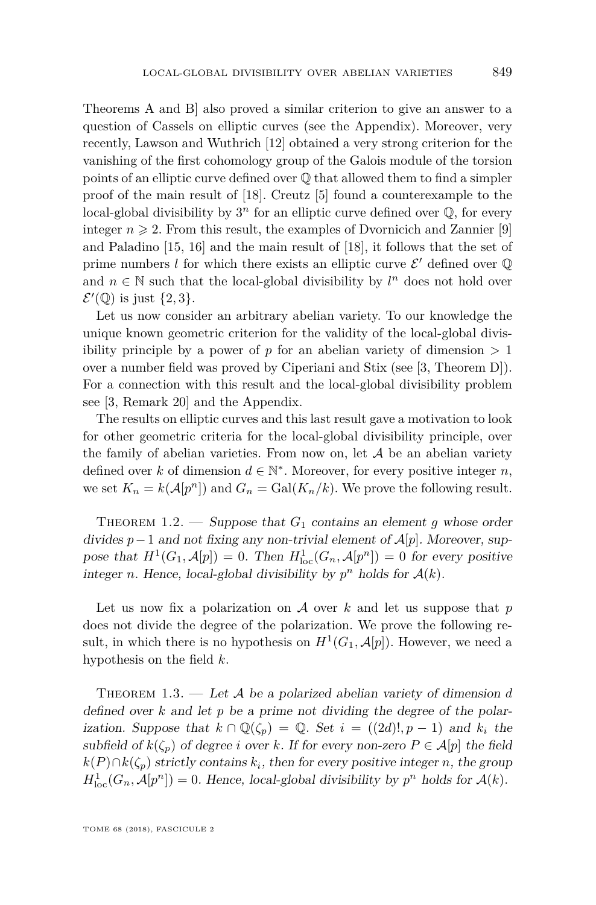Theorems A and B] also proved a similar criterion to give an answer to a

question of Cassels on elliptic curves (see the Appendix). Moreover, very recently, Lawson and Wuthrich [\[12\]](#page-27-3) obtained a very strong criterion for the vanishing of the first cohomology group of the Galois module of the torsion points of an elliptic curve defined over Q that allowed them to find a simpler proof of the main result of [\[18\]](#page-27-2). Creutz [\[5\]](#page-26-4) found a counterexample to the local-global divisibility by  $3^n$  for an elliptic curve defined over  $\mathbb{Q}$ , for every integer  $n \geqslant 2$ . From this result, the examples of Dvornicich and Zannier [\[9\]](#page-26-5) and Paladino [\[15,](#page-27-4) [16\]](#page-27-5) and the main result of [\[18\]](#page-27-2), it follows that the set of prime numbers  $l$  for which there exists an elliptic curve  $\mathcal{E}'$  defined over  $\mathbb Q$ and  $n \in \mathbb{N}$  such that the local-global divisibility by  $l^n$  does not hold over  $\mathcal{E}'(\mathbb{Q})$  is just  $\{2,3\}.$ 

Let us now consider an arbitrary abelian variety. To our knowledge the unique known geometric criterion for the validity of the local-global divisibility principle by a power of  $p$  for an abelian variety of dimension  $> 1$ over a number field was proved by Ciperiani and Stix (see [\[3,](#page-26-3) Theorem D]). For a connection with this result and the local-global divisibility problem see [\[3,](#page-26-3) Remark 20] and the Appendix.

The results on elliptic curves and this last result gave a motivation to look for other geometric criteria for the local-global divisibility principle, over the family of abelian varieties. From now on, let  $A$  be an abelian variety defined over *k* of dimension  $d \in \mathbb{N}^*$ . Moreover, for every positive integer *n*, we set  $K_n = k(\mathcal{A}[p^n])$  and  $G_n = \text{Gal}(K_n/k)$ . We prove the following result.

<span id="page-3-0"></span>THEOREM 1.2. — Suppose that  $G_1$  contains an element g whose order divides *p*−1 and not fixing any non-trivial element of A[*p*]. Moreover, suppose that  $H^1(G_1, \mathcal{A}[p]) = 0$ . Then  $H^1_{loc}(G_n, \mathcal{A}[p^n]) = 0$  for every positive integer *n*. Hence, local-global divisibility by  $p^n$  holds for  $A(k)$ .

Let us now fix a polarization on A over *k* and let us suppose that *p* does not divide the degree of the polarization. We prove the following result, in which there is no hypothesis on  $H^1(G_1, \mathcal{A}[p])$ . However, we need a hypothesis on the field *k*.

<span id="page-3-1"></span>THEOREM 1.3. — Let A be a polarized abelian variety of dimension d defined over *k* and let *p* be a prime not dividing the degree of the polarization. Suppose that  $k \cap \mathbb{Q}(\zeta_p) = \mathbb{Q}$ . Set  $i = ((2d)!, p-1)$  and  $k_i$  the subfield of  $k(\zeta_p)$  of degree *i* over *k*. If for every non-zero  $P \in \mathcal{A}[p]$  the field  $k(P) \cap k(\zeta_p)$  strictly contains  $k_i$ , then for every positive integer *n*, the group  $H_{\text{loc}}^1(G_n, \mathcal{A}[p^n]) = 0$ . Hence, local-global divisibility by  $p^n$  holds for  $\mathcal{A}(k)$ .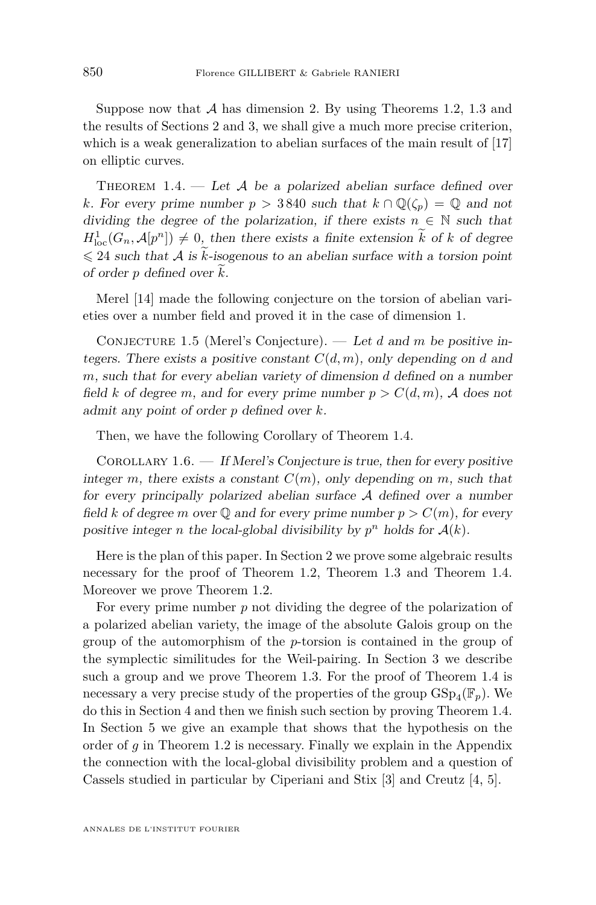Suppose now that  $A$  has dimension 2. By using Theorems [1.2,](#page-3-0) [1.3](#page-3-1) and the results of Sections [2](#page-5-0) and 3, we shall give a much more precise criterion, which is a weak generalization to abelian surfaces of the main result of  $[17]$ on elliptic curves.

<span id="page-4-0"></span>THEOREM 1.4. — Let A be a polarized abelian surface defined over *k*. For every prime number  $p > 3840$  such that  $k \cap \mathbb{Q}(\zeta_p) = \mathbb{Q}$  and not dividing the degree of the polarization, if there exists  $n \in \mathbb{N}$  such that  $H_{\text{loc}}^1(G_n, \mathcal{A}[p^n]) \neq 0$ , then there exists a finite extension  $k$  of  $k$  of degree  $\leq 24$  such that A is k-isogenous to an abelian surface with a torsion point of order  $p$  defined over  $k$ .

Merel [\[14\]](#page-27-6) made the following conjecture on the torsion of abelian varieties over a number field and proved it in the case of dimension 1.

Conjecture 1.5 (Merel's Conjecture). — Let *d* and *m* be positive integers. There exists a positive constant  $C(d, m)$ , only depending on *d* and *m*, such that for every abelian variety of dimension *d* defined on a number field *k* of degree *m*, and for every prime number  $p > C(d, m)$ , A does not admit any point of order *p* defined over *k*.

Then, we have the following Corollary of Theorem [1.4.](#page-4-0)

COROLLARY  $1.6.$  — If Merel's Conjecture is true, then for every positive integer *m*, there exists a constant  $C(m)$ , only depending on *m*, such that for every principally polarized abelian surface  $A$  defined over a number field *k* of degree *m* over  $\mathbb{Q}$  and for every prime number  $p > C(m)$ , for every positive integer *n* the local-global divisibility by  $p^n$  holds for  $\mathcal{A}(k)$ .

Here is the plan of this paper. In Section [2](#page-5-0) we prove some algebraic results necessary for the proof of Theorem [1.2,](#page-3-0) Theorem [1.3](#page-3-1) and Theorem [1.4.](#page-4-0) Moreover we prove Theorem [1.2.](#page-3-0)

For every prime number *p* not dividing the degree of the polarization of a polarized abelian variety, the image of the absolute Galois group on the group of the automorphism of the *p*-torsion is contained in the group of the symplectic similitudes for the Weil-pairing. In Section 3 we describe such a group and we prove Theorem [1.3.](#page-3-1) For the proof of Theorem [1.4](#page-4-0) is necessary a very precise study of the properties of the group  $\mathrm{GSp}_4(\mathbb{F}_p)$ . We do this in Section [4](#page-13-0) and then we finish such section by proving Theorem [1.4.](#page-4-0) In Section [5](#page-23-0) we give an example that shows that the hypothesis on the order of *g* in Theorem [1.2](#page-3-0) is necessary. Finally we explain in the Appendix the connection with the local-global divisibility problem and a question of Cassels studied in particular by Ciperiani and Stix [\[3\]](#page-26-3) and Creutz [\[4,](#page-26-6) [5\]](#page-26-4).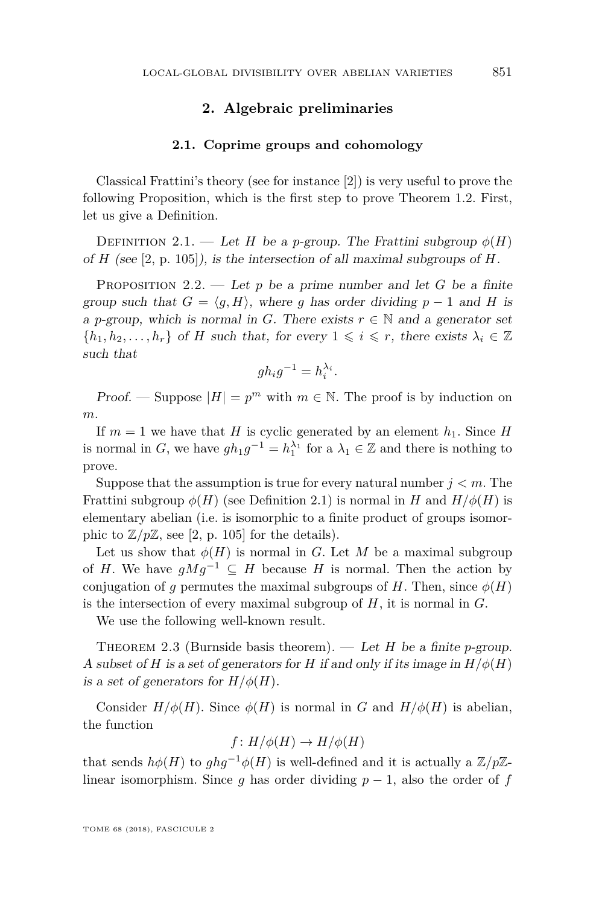#### **2. Algebraic preliminaries**

#### **2.1. Coprime groups and cohomology**

<span id="page-5-0"></span>Classical Frattini's theory (see for instance [\[2\]](#page-26-7)) is very useful to prove the following Proposition, which is the first step to prove Theorem [1.2.](#page-3-0) First, let us give a Definition.

<span id="page-5-1"></span>DEFINITION 2.1. — Let *H* be a *p*-group. The Frattini subgroup  $\phi(H)$ of *H* (see [\[2,](#page-26-7) p. 105]), is the intersection of all maximal subgroups of *H*.

<span id="page-5-2"></span>PROPOSITION 2.2. — Let  $p$  be a prime number and let  $G$  be a finite group such that  $G = \langle q, H \rangle$ , where *g* has order dividing *p* − 1 and *H* is a *p*-group, which is normal in *G*. There exists  $r \in \mathbb{N}$  and a generator set  $\{h_1, h_2, \ldots, h_r\}$  of *H* such that, for every  $1 \leq i \leq r$ , there exists  $\lambda_i \in \mathbb{Z}$ such that

$$
gh_i g^{-1} = h_i^{\lambda_i}.
$$

Proof. — Suppose  $|H| = p^m$  with  $m \in \mathbb{N}$ . The proof is by induction on *m*.

If  $m = 1$  we have that *H* is cyclic generated by an element  $h_1$ . Since *H* is normal in *G*, we have  $gh_1g^{-1} = h_1^{\lambda_1}$  for a  $\lambda_1 \in \mathbb{Z}$  and there is nothing to prove.

Suppose that the assumption is true for every natural number  $j < m$ . The Frattini subgroup  $\phi(H)$  (see Definition [2.1\)](#page-5-1) is normal in *H* and  $H/\phi(H)$  is elementary abelian (i.e. is isomorphic to a finite product of groups isomorphic to  $\mathbb{Z}/p\mathbb{Z}$ , see [\[2,](#page-26-7) p. 105] for the details).

Let us show that  $\phi(H)$  is normal in *G*. Let *M* be a maximal subgroup of *H*. We have  $gMg^{-1} \subseteq H$  because *H* is normal. Then the action by conjugation of *g* permutes the maximal subgroups of *H*. Then, since  $\phi(H)$ is the intersection of every maximal subgroup of *H*, it is normal in *G*.

We use the following well-known result.

THEOREM 2.3 (Burnside basis theorem). — Let  $H$  be a finite *p*-group. A subset of *H* is a set of generators for *H* if and only if its image in  $H/\phi(H)$ is a set of generators for  $H/\phi(H)$ .

Consider  $H/\phi(H)$ . Since  $\phi(H)$  is normal in *G* and  $H/\phi(H)$  is abelian, the function

$$
f: H/\phi(H) \to H/\phi(H)
$$

that sends  $h\phi(H)$  to  $ghg^{-1}\phi(H)$  is well-defined and it is actually a  $\mathbb{Z}/p\mathbb{Z}$ linear isomorphism. Since *g* has order dividing  $p-1$ , also the order of *f*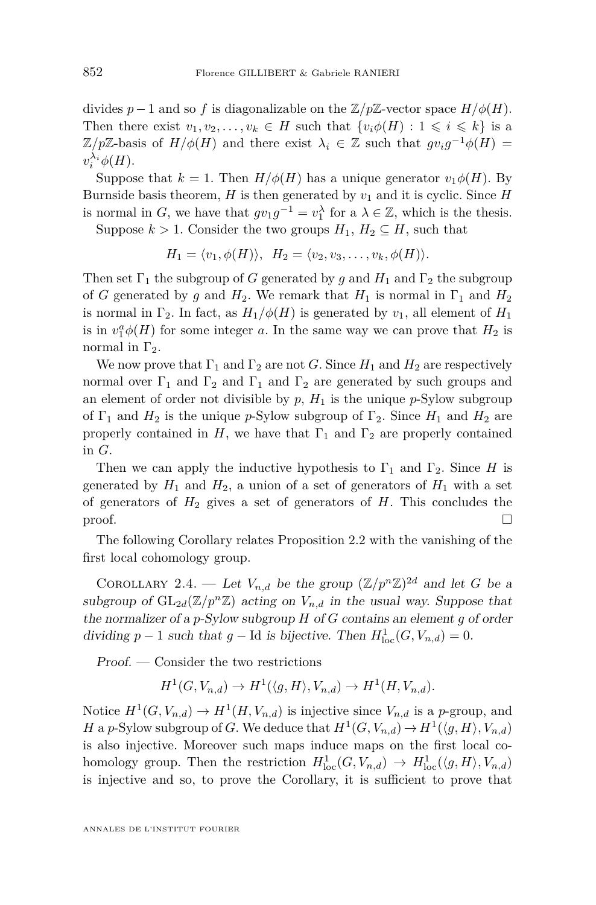divides *p*−1 and so *f* is diagonalizable on the  $\mathbb{Z}/p\mathbb{Z}$ -vector space  $H/\phi(H)$ . Then there exist  $v_1, v_2, \ldots, v_k \in H$  such that  $\{v_i \phi(H) : 1 \leq i \leq k\}$  is a  $\mathbb{Z}/p\mathbb{Z}$ -basis of  $H/\phi(H)$  and there exist  $\lambda_i \in \mathbb{Z}$  such that  $gv_i g^{-1}\phi(H) =$  $v_i^{\lambda_i} \phi(H)$ .

Suppose that  $k = 1$ . Then  $H/\phi(H)$  has a unique generator  $v_1\phi(H)$ . By Burnside basis theorem,  $H$  is then generated by  $v_1$  and it is cyclic. Since  $H$ is normal in *G*, we have that  $gv_1g^{-1} = v_1^{\lambda}$  for a  $\lambda \in \mathbb{Z}$ , which is the thesis.

Suppose  $k > 1$ . Consider the two groups  $H_1, H_2 \subseteq H$ , such that

$$
H_1 = \langle v_1, \phi(H) \rangle, \quad H_2 = \langle v_2, v_3, \dots, v_k, \phi(H) \rangle.
$$

Then set  $\Gamma_1$  the subgroup of *G* generated by *g* and  $H_1$  and  $\Gamma_2$  the subgroup of *G* generated by *g* and  $H_2$ . We remark that  $H_1$  is normal in  $\Gamma_1$  and  $H_2$ is normal in  $\Gamma_2$ . In fact, as  $H_1/\phi(H)$  is generated by  $v_1$ , all element of  $H_1$ is in  $v_1^a \phi(H)$  for some integer *a*. In the same way we can prove that  $H_2$  is normal in  $Γ_2$ .

We now prove that  $\Gamma_1$  and  $\Gamma_2$  are not *G*. Since  $H_1$  and  $H_2$  are respectively normal over  $\Gamma_1$  and  $\Gamma_2$  and  $\Gamma_1$  and  $\Gamma_2$  are generated by such groups and an element of order not divisible by  $p$ ,  $H_1$  is the unique  $p$ -Sylow subgroup of  $\Gamma_1$  and  $H_2$  is the unique *p*-Sylow subgroup of  $\Gamma_2$ . Since  $H_1$  and  $H_2$  are properly contained in *H*, we have that  $\Gamma_1$  and  $\Gamma_2$  are properly contained in *G*.

Then we can apply the inductive hypothesis to  $\Gamma_1$  and  $\Gamma_2$ . Since *H* is generated by  $H_1$  and  $H_2$ , a union of a set of generators of  $H_1$  with a set of generators of  $H_2$  gives a set of generators of  $H$ . This concludes the  $\Box$ 

The following Corollary relates Proposition [2.2](#page-5-2) with the vanishing of the first local cohomology group.

<span id="page-6-0"></span>COROLLARY 2.4. — Let  $V_{n,d}$  be the group  $(\mathbb{Z}/p^n\mathbb{Z})^{2d}$  and let *G* be a subgroup of  $GL_{2d}(\mathbb{Z}/p^n\mathbb{Z})$  acting on  $V_{n,d}$  in the usual way. Suppose that the normalizer of a *p*-Sylow subgroup *H* of *G* contains an element *g* of order dividing  $p - 1$  such that  $g - Id$  is bijective. Then  $H_{loc}^1(G, V_{n,d}) = 0$ .

Proof. — Consider the two restrictions

$$
H^1(G, V_{n,d}) \to H^1(\langle g, H \rangle, V_{n,d}) \to H^1(H, V_{n,d}).
$$

Notice  $H^1(G, V_{n,d}) \to H^1(H, V_{n,d})$  is injective since  $V_{n,d}$  is a *p*-group, and *H* a *p*-Sylow subgroup of *G*. We deduce that  $H^1(G, V_{n,d}) \to H^1(\langle g, H \rangle, V_{n,d})$ is also injective. Moreover such maps induce maps on the first local cohomology group. Then the restriction  $H_{\text{loc}}^1(G, V_{n,d}) \to H_{\text{loc}}^1(\langle g, H \rangle, V_{n,d})$ is injective and so, to prove the Corollary, it is sufficient to prove that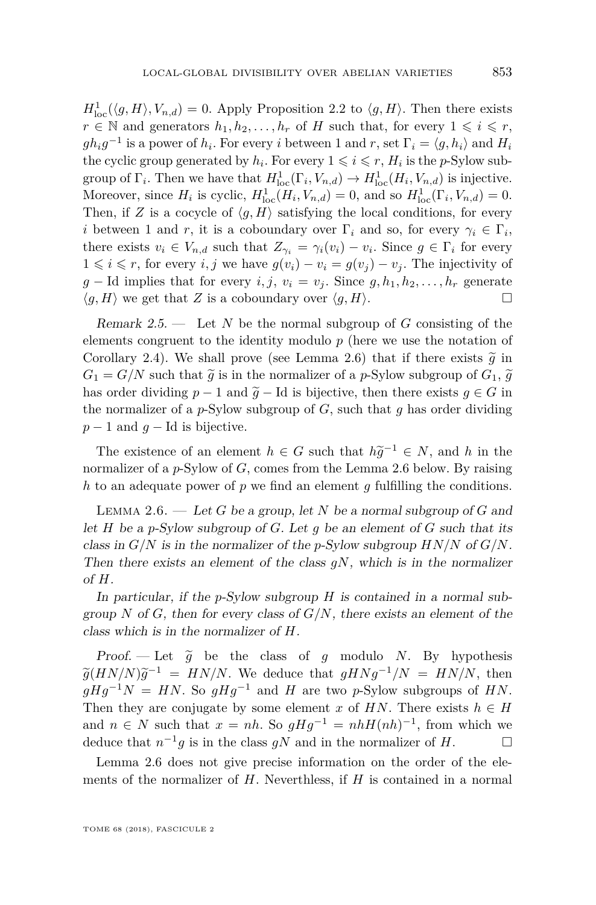$H_{\text{loc}}^1(\langle g, H \rangle, V_{n,d}) = 0$ . Apply Proposition [2.2](#page-5-2) to  $\langle g, H \rangle$ . Then there exists *r* ∈ *N* and generators  $h_1, h_2, \ldots, h_r$  of *H* such that, for every  $1 \leq i \leq r$ ,  $gh_i g^{-1}$  is a power of  $h_i$ . For every *i* between 1 and *r*, set  $\Gamma_i = \langle g, h_i \rangle$  and  $H_i$ the cyclic group generated by  $h_i$ . For every  $1 \leqslant i \leqslant r$ ,  $H_i$  is the *p*-Sylow subgroup of  $\Gamma_i$ . Then we have that  $H^1_{\text{loc}}(\Gamma_i, V_{n,d}) \to H^1_{\text{loc}}(H_i, V_{n,d})$  is injective. Moreover, since  $H_i$  is cyclic,  $H_{loc}^1(H_i, V_{n,d}) = 0$ , and so  $H_{loc}^1(\Gamma_i, V_{n,d}) = 0$ . Then, if *Z* is a cocycle of  $\langle g, H \rangle$  satisfying the local conditions, for every *i* between 1 and *r*, it is a coboundary over  $\Gamma_i$  and so, for every  $\gamma_i \in \Gamma_i$ , there exists  $v_i \in V_{n,d}$  such that  $Z_{\gamma_i} = \gamma_i(v_i) - v_i$ . Since  $g \in \Gamma_i$  for every 1 ≤ *i* ≤ *r*, for every *i, j* we have  $g(v_i) - v_i = g(v_i) - v_i$ . The injectivity of *g* − Id implies that for every *i, j, v<sub>i</sub>* = *v<sub>j</sub>*. Since *g, h*<sub>1</sub>*, h*<sub>2</sub>*, . . . , h<sub><i>r*</sub> generate  $\langle g, H \rangle$  we get that *Z* is a coboundary over  $\langle g, H \rangle$ .

<span id="page-7-1"></span>Remark 2.5. — Let *N* be the normal subgroup of *G* consisting of the elements congruent to the identity modulo *p* (here we use the notation of Corollary [2.4\)](#page-6-0). We shall prove (see Lemma [2.6\)](#page-7-0) that if there exists  $\tilde{q}$  in  $G_1 = G/N$  such that  $\tilde{q}$  is in the normalizer of a *p*-Sylow subgroup of  $G_1$ ,  $\tilde{q}$ has order dividing  $p-1$  and  $\tilde{g}$  − Id is bijective, then there exists  $g \in G$  in the normalizer of a *p*-Sylow subgroup of *G*, such that *g* has order dividing  $p-1$  and  $q-1$ d is bijective.

The existence of an element  $h \in G$  such that  $h\tilde{g}^{-1} \in N$ , and *h* in the mostling of a g Sylam of *G* somes from the Lamma 2.6 holom. Purpoising normalizer of a *p*-Sylow of *G*, comes from the Lemma [2.6](#page-7-0) below. By raising *h* to an adequate power of *p* we find an element *g* fulfilling the conditions.

<span id="page-7-0"></span>Lemma 2.6. — Let *G* be a group, let *N* be a normal subgroup of *G* and let *H* be a *p*-Sylow subgroup of *G*. Let *g* be an element of *G* such that its class in *G/N* is in the normalizer of the *p*-Sylow subgroup *HN/N* of *G/N*. Then there exists an element of the class *gN*, which is in the normalizer of *H*.

In particular, if the *p*-Sylow subgroup *H* is contained in a normal subgroup *N* of *G*, then for every class of  $G/N$ , there exists an element of the class which is in the normalizer of *H*.

Proof. — Let  $\tilde{g}$  be the class of *g* modulo *N*. By hypothesis  $\widetilde{g}(HN/N)\widetilde{g}^{-1} = HN/N$ . We deduce that  $gHNg^{-1}/N = HN/N$ , then  $gHg^{-1}N = HN$ ,  $g \circ gHg^{-1}$  and  $H$  are two a Sylem subgroups of  $HN$ .  $gHg^{-1}N = HN$ . So  $gHg^{-1}$  and *H* are two *p*-Sylow subgroups of *HN*. Then they are conjugate by some element *x* of  $HN$ . There exists  $h \in H$ and  $n \in N$  such that  $x = nh$ . So  $gHg^{-1} = nhH(nh)^{-1}$ , from which we deduce that  $n^{-1}g$  is in the class  $gN$  and in the normalizer of *H*.

Lemma [2.6](#page-7-0) does not give precise information on the order of the elements of the normalizer of *H*. Neverthless, if *H* is contained in a normal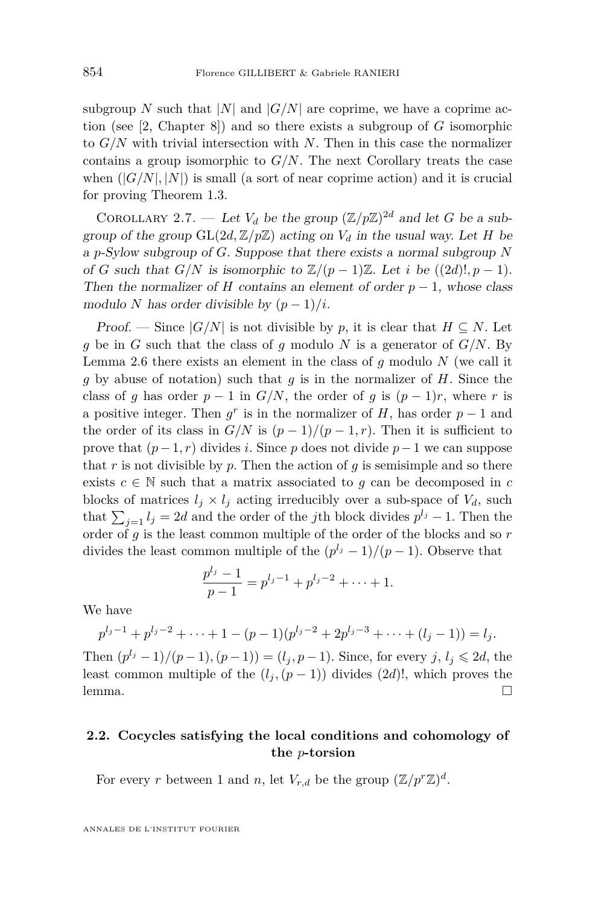subgroup *N* such that  $|N|$  and  $|G/N|$  are coprime, we have a coprime action (see [\[2,](#page-26-7) Chapter 8]) and so there exists a subgroup of *G* isomorphic to *G/N* with trivial intersection with *N*. Then in this case the normalizer contains a group isomorphic to *G/N*. The next Corollary treats the case when  $(|G/N|, |N|)$  is small (a sort of near coprime action) and it is crucial for proving Theorem [1.3.](#page-3-1)

<span id="page-8-0"></span>COROLLARY 2.7. — Let  $V_d$  be the group  $(\mathbb{Z}/p\mathbb{Z})^{2d}$  and let *G* be a subgroup of the group  $GL(2d, \mathbb{Z}/p\mathbb{Z})$  acting on  $V_d$  in the usual way. Let *H* be a *p*-Sylow subgroup of *G*. Suppose that there exists a normal subgroup *N* of *G* such that  $G/N$  is isomorphic to  $\mathbb{Z}/(p-1)\mathbb{Z}$ . Let *i* be  $((2d)!, p-1)$ . Then the normalizer of *H* contains an element of order  $p-1$ , whose class modulo *N* has order divisible by  $(p-1)/i$ .

Proof. — Since  $|G/N|$  is not divisible by p, it is clear that  $H \subseteq N$ . Let *g* be in *G* such that the class of *g* modulo *N* is a generator of *G/N*. By Lemma [2.6](#page-7-0) there exists an element in the class of *g* modulo *N* (we call it *g* by abuse of notation) such that *g* is in the normalizer of *H*. Since the class of *g* has order  $p - 1$  in  $G/N$ , the order of *g* is  $(p - 1)r$ , where *r* is a positive integer. Then  $g^r$  is in the normalizer of *H*, has order  $p-1$  and the order of its class in  $G/N$  is  $(p-1)/(p-1,r)$ . Then it is sufficient to prove that  $(p-1, r)$  divides *i*. Since *p* does not divide  $p-1$  we can suppose that *r* is not divisible by *p*. Then the action of *g* is semisimple and so there exists  $c \in \mathbb{N}$  such that a matrix associated to  $g$  can be decomposed in  $c$ blocks of matrices  $l_j \times l_j$  acting irreducibly over a sub-space of  $V_d$ , such that  $\sum_{j=1} l_j = 2d$  and the order of the *j*th block divides  $p^{l_j} - 1$ . Then the order of *g* is the least common multiple of the order of the blocks and so *r* divides the least common multiple of the  $(p^{l_j}-1)/(p-1)$ . Observe that

$$
\frac{p^{l_j}-1}{p-1}=p^{l_j-1}+p^{l_j-2}+\cdots+1.
$$

We have

$$
p^{l_j-1} + p^{l_j-2} + \dots + 1 - (p-1)(p^{l_j-2} + 2p^{l_j-3} + \dots + (l_j-1)) = l_j.
$$

Then  $(p^{l_j} - 1)/(p - 1)$ ,  $(p - 1) = (l_j, p - 1)$ . Since, for every *j*,  $l_j \le 2d$ , the least common multiple of the  $(l_j, (p-1))$  divides  $(2d)!$ , which proves the lemma.  $\Box$ 

#### **2.2. Cocycles satisfying the local conditions and cohomology of the** *p***-torsion**

For every *r* between 1 and *n*, let  $V_{r,d}$  be the group  $(\mathbb{Z}/p^r\mathbb{Z})^d$ .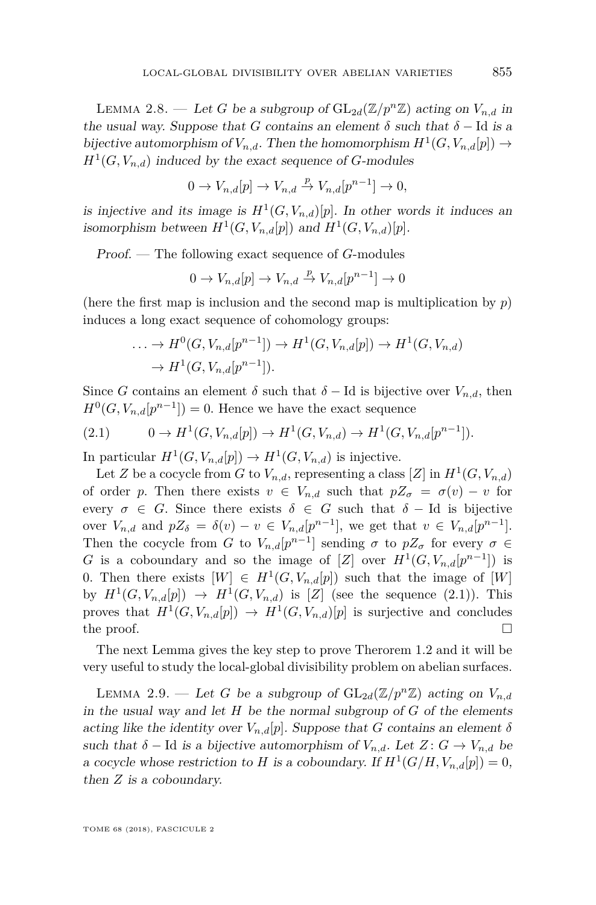<span id="page-9-1"></span>LEMMA 2.8. — Let *G* be a subgroup of  $GL_{2d}(\mathbb{Z}/p^n\mathbb{Z})$  acting on  $V_{n,d}$  in the usual way. Suppose that *G* contains an element  $\delta$  such that  $\delta$  − Id is a bijective automorphism of  $V_{n,d}$ . Then the homomorphism  $H^1(G, V_{n,d}[p]) \to$  $H^1(G, V_{n,d})$  induced by the exact sequence of *G*-modules

$$
0 \to V_{n,d}[p] \to V_{n,d} \stackrel{p}{\to} V_{n,d}[p^{n-1}] \to 0,
$$

is injective and its image is  $H^1(G, V_{n,d})[p]$ . In other words it induces an isomorphism between  $H^1(G, V_{n,d}[p])$  and  $H^1(G, V_{n,d})[p]$ .

Proof. — The following exact sequence of *G*-modules

$$
0 \to V_{n,d}[p] \to V_{n,d} \stackrel{p}{\to} V_{n,d}[p^{n-1}] \to 0
$$

(here the first map is inclusion and the second map is multiplication by *p*) induces a long exact sequence of cohomology groups:

$$
\ldots \to H^0(G, V_{n,d}[p^{n-1}]) \to H^1(G, V_{n,d}[p]) \to H^1(G, V_{n,d})
$$
  

$$
\to H^1(G, V_{n,d}[p^{n-1}]).
$$

Since *G* contains an element  $\delta$  such that  $\delta$  − Id is bijective over  $V_{n,d}$ , then  $H^0(G, V_{n,d}[p^{n-1}]) = 0$ . Hence we have the exact sequence

<span id="page-9-0"></span>
$$
(2.1) \t 0 \to H^1(G, V_{n,d}[p]) \to H^1(G, V_{n,d}) \to H^1(G, V_{n,d}[p^{n-1}]).
$$

In particular  $H^1(G, V_{n,d}[p]) \to H^1(G, V_{n,d})$  is injective.

Let *Z* be a cocycle from *G* to  $V_{n,d}$ , representing a class [*Z*] in  $H^1(G, V_{n,d})$ of order *p*. Then there exists  $v \in V_{n,d}$  such that  $pZ_{\sigma} = \sigma(v) - v$  for every  $\sigma \in G$ . Since there exists  $\delta \in G$  such that  $\delta - Id$  is bijective over  $V_{n,d}$  and  $pZ_{\delta} = \delta(v) - v \in V_{n,d}[p^{n-1}],$  we get that  $v \in V_{n,d}[p^{n-1}].$ Then the cocycle from *G* to  $V_{n,d}[p^{n-1}]$  sending  $\sigma$  to  $pZ_{\sigma}$  for every  $\sigma \in$ *G* is a coboundary and so the image of [*Z*] over  $H^1(G, V_{n,d}[p^{n-1}])$  is 0. Then there exists  $[W] \in H^1(G, V_{n,d}[p])$  such that the image of  $[W]$ by  $H^1(G, V_{n,d}[p]) \rightarrow H^1(G, V_{n,d})$  is [*Z*] (see the sequence [\(2.1\)](#page-9-0)). This proves that  $H^1(G, V_{n,d}[p]) \to H^1(G, V_{n,d})[p]$  is surjective and concludes the proof.  $\Box$ 

The next Lemma gives the key step to prove Therorem [1.2](#page-3-0) and it will be very useful to study the local-global divisibility problem on abelian surfaces.

<span id="page-9-2"></span>LEMMA 2.9. — Let *G* be a subgroup of  $GL_{2d}(\mathbb{Z}/p^n\mathbb{Z})$  acting on  $V_{n,d}$ in the usual way and let *H* be the normal subgroup of *G* of the elements acting like the identity over  $V_{n,d}[p]$ . Suppose that *G* contains an element  $\delta$ such that  $\delta$  − Id is a bijective automorphism of  $V_{n,d}$ . Let  $Z: G \to V_{n,d}$  be a cocycle whose restriction to *H* is a coboundary. If  $H^1(G/H, V_{n,d}[p]) = 0$ , then *Z* is a coboundary.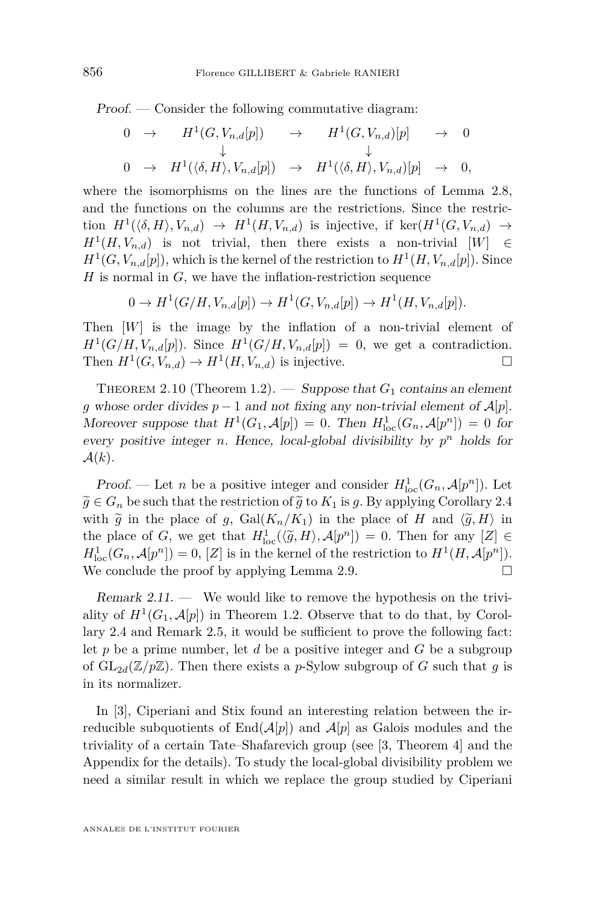Proof. — Consider the following commutative diagram:

$$
\begin{array}{ccccccc}\n0 & \rightarrow & H^{1}(G, V_{n,d}[p]) & \rightarrow & H^{1}(G, V_{n,d})[p] & \rightarrow & 0 \\
& & \downarrow & & \downarrow & & \downarrow \\
0 & \rightarrow & H^{1}(\langle \delta, H \rangle, V_{n,d}[p]) & \rightarrow & H^{1}(\langle \delta, H \rangle, V_{n,d})[p] & \rightarrow & 0,\n\end{array}
$$

where the isomorphisms on the lines are the functions of Lemma [2.8,](#page-9-1) and the functions on the columns are the restrictions. Since the restriction  $H^1(\langle \delta, H \rangle, V_{n,d}) \to H^1(H, V_{n,d})$  is injective, if ker $(H^1(G, V_{n,d}) \to$  $H^1(H, V_{n,d})$  is not trivial, then there exists a non-trivial  $[W] \in$  $H^1(G, V_{n,d}[p])$ , which is the kernel of the restriction to  $H^1(H, V_{n,d}[p])$ . Since *H* is normal in *G*, we have the inflation-restriction sequence

 $0 \to H^1(G/H, V_{n,d}[p]) \to H^1(G, V_{n,d}[p]) \to H^1(H, V_{n,d}[p]).$ 

Then [*W*] is the image by the inflation of a non-trivial element of  $H^1(G/H, V_{n,d}[p])$ . Since  $H^1(G/H, V_{n,d}[p]) = 0$ , we get a contradiction. Then  $H^1(G, V_{n,d}) \to H^1(H, V_{n,d})$  is injective.

THEOREM 2.10 (Theorem [1.2\)](#page-3-0). — Suppose that  $G_1$  contains an element *g* whose order divides  $p-1$  and not fixing any non-trivial element of  $\mathcal{A}[p]$ . Moreover suppose that  $H^1(G_1, \mathcal{A}[p]) = 0$ . Then  $H^1_{loc}(G_n, \mathcal{A}[p^n]) = 0$  for every positive integer *n*. Hence, local-global divisibility by  $p^n$  holds for  $\mathcal{A}(k)$ .

Proof. — Let *n* be a positive integer and consider  $H_{\text{loc}}^1(G_n, \mathcal{A}[p^n])$ . Let  $\widetilde{g} \in G_n$  be such that the restriction of  $\widetilde{g}$  to  $K_1$  is *g*. By applying Corollary [2.4](#page-6-0) with  $\tilde{g}$  in the place of *g*, Gal $(K_n/K_1)$  in the place of *H* and  $\langle \tilde{g}, H \rangle$  in the place of *G*, we get that  $H^1_{loc}(\langle \tilde{g}, H \rangle, \mathcal{A}[p^n]) = 0$ . Then for any  $[Z] \in H^1(G, A[x^n])$  $H_{\text{loc}}^1(G_n, \mathcal{A}[p^n]) = 0$ ,  $[Z]$  is in the kernel of the restriction to  $H^1(H, \mathcal{A}[p^n])$ . We conclude the proof by applying Lemma [2.9.](#page-9-2)  $\Box$ 

Remark 2.11. — We would like to remove the hypothesis on the triviality of  $H^1(G_1, \mathcal{A}[p])$  in Theorem [1.2.](#page-3-0) Observe that to do that, by Corollary [2.4](#page-6-0) and Remark [2.5,](#page-7-1) it would be sufficient to prove the following fact: let *p* be a prime number, let *d* be a positive integer and *G* be a subgroup of  $GL_{2d}(\mathbb{Z}/p\mathbb{Z})$ . Then there exists a *p*-Sylow subgroup of *G* such that *g* is in its normalizer.

In [\[3\]](#page-26-3), Ciperiani and Stix found an interesting relation between the irreducible subquotients of  $\text{End}(\mathcal{A}[p])$  and  $\mathcal{A}[p]$  as Galois modules and the triviality of a certain Tate–Shafarevich group (see [\[3,](#page-26-3) Theorem 4] and the Appendix for the details). To study the local-global divisibility problem we need a similar result in which we replace the group studied by Ciperiani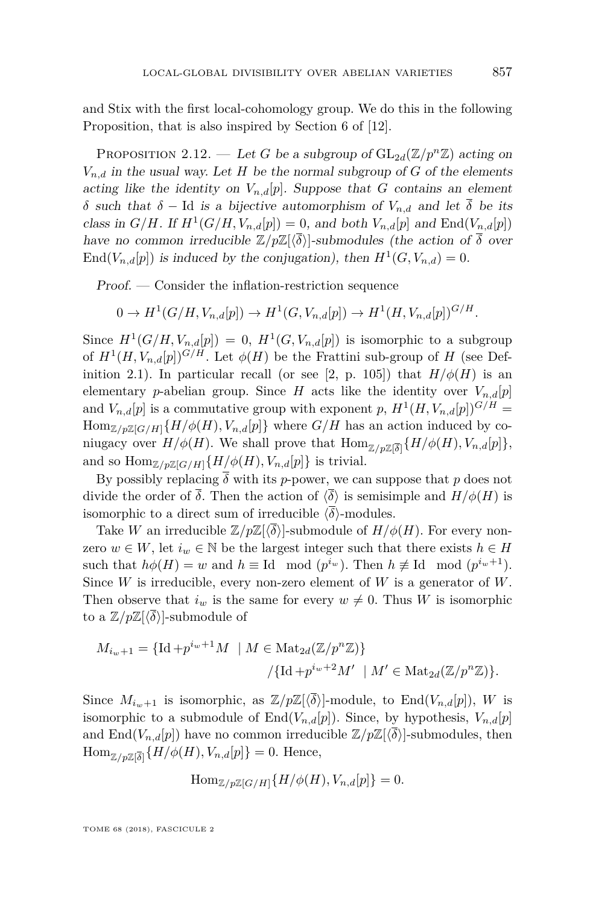and Stix with the first local-cohomology group. We do this in the following Proposition, that is also inspired by Section 6 of [\[12\]](#page-27-3).

<span id="page-11-0"></span>PROPOSITION 2.12. — Let *G* be a subgroup of  $GL_{2d}(\mathbb{Z}/p^n\mathbb{Z})$  acting on  $V_{n,d}$  in the usual way. Let *H* be the normal subgroup of *G* of the elements acting like the identity on  $V_{n,d}[p]$ . Suppose that *G* contains an element *δ* such that *δ* − Id is a bijective automorphism of *Vn,d* and let *δ* be its class in  $G/H$ . If  $H^1(G/H, V_{n,d}[p]) = 0$ , and both  $V_{n,d}[p]$  and  $\text{End}(V_{n,d}[p])$ have no common irreducible  $\mathbb{Z}/p\mathbb{Z}\{\langle \overline{\delta}\rangle\}$ -submodules (the action of  $\overline{\delta}$  over  $\text{End}(V_{n,d}[p])$  is induced by the conjugation), then  $H^1(G, V_{n,d}) = 0$ .

Proof. — Consider the inflation-restriction sequence

$$
0 \to H^1(G/H, V_{n,d}[p]) \to H^1(G, V_{n,d}[p]) \to H^1(H, V_{n,d}[p])^{G/H}.
$$

Since  $H^1(G/H, V_{n,d}[p]) = 0$ ,  $H^1(G, V_{n,d}[p])$  is isomorphic to a subgroup of  $H^1(H, V_{n,d}[p])^{G/H}$ . Let  $\phi(H)$  be the Frattini sub-group of *H* (see Def-inition [2.1\)](#page-5-1). In particular recall (or see [\[2,](#page-26-7) p. 105]) that  $H/\phi(H)$  is an elementary *p*-abelian group. Since *H* acts like the identity over  $V_{n,d}[p]$ and  $V_{n,d}[p]$  is a commutative group with exponent  $p$ ,  $H^1(H, V_{n,d}[p])^{G/H} =$  $\text{Hom}_{\mathbb{Z}/p\mathbb{Z}[G/H]}\{H/\phi(H), V_{n,d}[p]\}\$  where  $G/H$  has an action induced by coniugacy over  $H/\phi(H)$ . We shall prove that  $\text{Hom}_{\mathbb{Z}/p\mathbb{Z}[\overline{\delta}]} \{ H/\phi(H), V_{n,d}[p] \},\$ and so  $\text{Hom}_{\mathbb{Z}/p\mathbb{Z}[G/H]}\{H/\phi(H), V_{n,d}[p]\}\$ is trivial.

By possibly replacing  $\overline{\delta}$  with its *p*-power, we can suppose that *p* does not divide the order of  $\overline{\delta}$ . Then the action of  $\langle \overline{\delta} \rangle$  is semisimple and  $H/\phi(H)$  is isomorphic to a direct sum of irreducible  $\langle \overline{\delta} \rangle$ -modules.

Take *W* an irreducible  $\mathbb{Z}/p\mathbb{Z}[\langle \delta \rangle]$ -submodule of  $H/\phi(H)$ . For every nonzero  $w \in W$ , let  $i_w \in \mathbb{N}$  be the largest integer such that there exists  $h \in H$ such that  $h\phi(H) = w$  and  $h \equiv \text{Id} \mod (p^{i_w})$ . Then  $h \not\equiv \text{Id} \mod (p^{i_w+1})$ . Since *W* is irreducible, every non-zero element of *W* is a generator of *W*. Then observe that  $i_w$  is the same for every  $w \neq 0$ . Thus *W* is isomorphic to a  $\mathbb{Z}/p\mathbb{Z}\left[\langle \overline{\delta}\rangle\right]$ -submodule of

$$
M_{i_w+1} = \{ \mathrm{Id} + p^{i_w+1}M \mid M \in \mathrm{Mat}_{2d}(\mathbb{Z}/p^n\mathbb{Z}) \}
$$

$$
/ \{ \mathrm{Id} + p^{i_w+2}M' \mid M' \in \mathrm{Mat}_{2d}(\mathbb{Z}/p^n\mathbb{Z}) \}.
$$

Since  $M_{i_{w+1}}$  is isomorphic, as  $\mathbb{Z}/p\mathbb{Z}[\langle \overline{\delta} \rangle]$ -module, to End $(V_{n,d}[p])$ , W is isomorphic to a submodule of  $\text{End}(V_{n,d}[p])$ . Since, by hypothesis,  $V_{n,d}[p]$ and  $\text{End}(V_{n,d}[p])$  have no common irreducible  $\mathbb{Z}/p\mathbb{Z}\langle\langle\overline{\delta}\rangle\rangle$ -submodules, then  $\text{Hom}_{\mathbb{Z}/p\mathbb{Z}[\overline{\delta}]} \{H/\phi(H), V_{n,d}[p]\} = 0.$  Hence,

$$
\operatorname{Hom}_{\mathbb{Z}/p\mathbb{Z}[G/H]}\{H/\phi(H), V_{n,d}[p]\} = 0.
$$

TOME 68 (2018), FASCICULE 2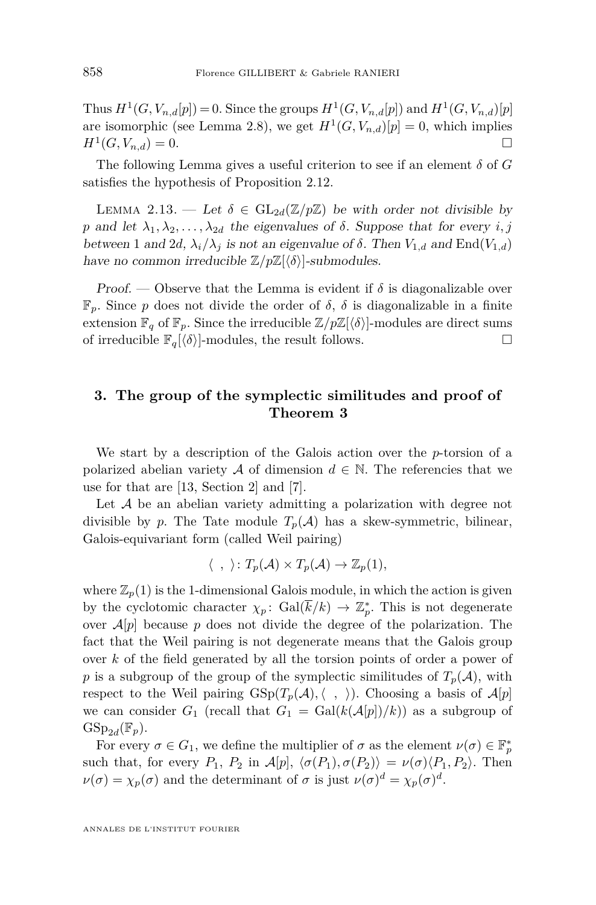Thus  $H^1(G, V_{n,d}[p]) = 0$ . Since the groups  $H^1(G, V_{n,d}[p])$  and  $H^1(G, V_{n,d})[p]$ are isomorphic (see Lemma [2.8\)](#page-9-1), we get  $H^1(G, V_{n,d})[p] = 0$ , which implies  $H^1(G, V_{n,d}) = 0.$ 

The following Lemma gives a useful criterion to see if an element *δ* of *G* satisfies the hypothesis of Proposition [2.12.](#page-11-0)

<span id="page-12-0"></span>LEMMA 2.13. — Let  $\delta \in GL_{2d}(\mathbb{Z}/p\mathbb{Z})$  be with order not divisible by *p* and let  $\lambda_1, \lambda_2, \ldots, \lambda_{2d}$  the eigenvalues of  $\delta$ . Suppose that for every *i, j* between 1 and 2*d*,  $\lambda_i/\lambda_j$  is not an eigenvalue of  $\delta$ . Then  $V_{1,d}$  and End( $V_{1,d}$ ) have no common irreducible  $\mathbb{Z}/p\mathbb{Z}[\langle \delta \rangle]$ -submodules.

*Proof.* — Observe that the Lemma is evident if  $\delta$  is diagonalizable over  $\mathbb{F}_p$ . Since *p* does not divide the order of *δ*, *δ* is diagonalizable in a finite extension  $\mathbb{F}_q$  of  $\mathbb{F}_p$ . Since the irreducible  $\mathbb{Z}/p\mathbb{Z}\left[\langle\delta\rangle\right]$ -modules are direct sums of irreducible  $\mathbb{F}_q\left\{\delta\right\}$ -modules, the result follows.

#### **3. The group of the symplectic similitudes and proof of Theorem 3**

We start by a description of the Galois action over the *p*-torsion of a polarized abelian variety A of dimension  $d \in \mathbb{N}$ . The referencies that we use for that are [\[13,](#page-27-7) Section 2] and [\[7\]](#page-26-8).

Let  $A$  be an abelian variety admitting a polarization with degree not divisible by *p*. The Tate module  $T_p(\mathcal{A})$  has a skew-symmetric, bilinear, Galois-equivariant form (called Weil pairing)

$$
\langle , \rangle : T_p(\mathcal{A}) \times T_p(\mathcal{A}) \to \mathbb{Z}_p(1),
$$

where  $\mathbb{Z}_p(1)$  is the 1-dimensional Galois module, in which the action is given by the cyclotomic character  $\chi_p$ : Gal( $\bar{k}/k$ )  $\to \mathbb{Z}_p^*$ . This is not degenerate over  $A[p]$  because p does not divide the degree of the polarization. The fact that the Weil pairing is not degenerate means that the Galois group over *k* of the field generated by all the torsion points of order a power of *p* is a subgroup of the group of the symplectic similitudes of  $T_p(\mathcal{A})$ , with respect to the Weil pairing  $GSp(T_p(\mathcal{A}), \langle , \rangle)$ . Choosing a basis of  $\mathcal{A}[p]$ we can consider  $G_1$  (recall that  $G_1 = \text{Gal}(k(\mathcal{A}[p])/k))$  as a subgroup of  $GSp_{2d}(\mathbb{F}_p)$ .

For every  $\sigma \in G_1$ , we define the multiplier of  $\sigma$  as the element  $\nu(\sigma) \in \mathbb{F}_p^*$ such that, for every  $P_1$ ,  $P_2$  in  $\mathcal{A}[p], \langle \sigma(P_1), \sigma(P_2) \rangle = \nu(\sigma) \langle P_1, P_2 \rangle$ . Then  $\nu(\sigma) = \chi_p(\sigma)$  and the determinant of  $\sigma$  is just  $\nu(\sigma)^d = \chi_p(\sigma)^d$ .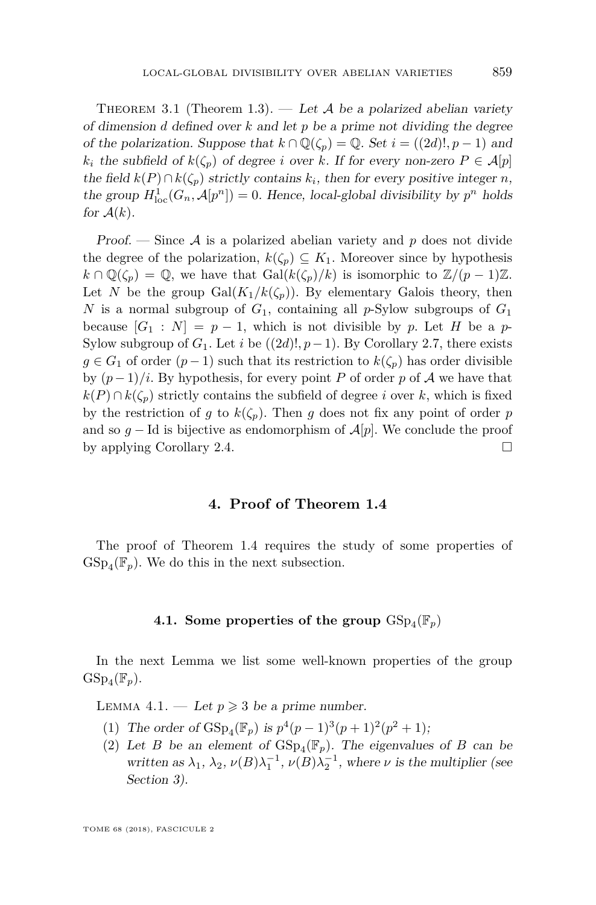THEOREM 3.1 (Theorem [1.3\)](#page-3-1). — Let A be a polarized abelian variety of dimension *d* defined over *k* and let *p* be a prime not dividing the degree of the polarization. Suppose that  $k \cap \mathbb{Q}(\zeta_p) = \mathbb{Q}$ . Set  $i = ((2d)!, p-1)$  and *k<sub>i</sub>* the subfield of  $k(\zeta_p)$  of degree *i* over *k*. If for every non-zero  $P \in \mathcal{A}[p]$ the field  $k(P) \cap k(\zeta_p)$  strictly contains  $k_i$ , then for every positive integer *n*, the group  $H_{\text{loc}}^1(G_n, \mathcal{A}[p^n]) = 0$ . Hence, local-global divisibility by  $p^n$  holds for  $A(k)$ .

Proof. — Since A is a polarized abelian variety and *p* does not divide the degree of the polarization,  $k(\zeta_p) \subseteq K_1$ . Moreover since by hypothesis  $k \cap \mathbb{Q}(\zeta_p) = \mathbb{Q}$ , we have that  $Gal(k(\zeta_p)/k)$  is isomorphic to  $\mathbb{Z}/(p-1)\mathbb{Z}$ . Let *N* be the group  $Gal(K_1/k(\zeta_p))$ . By elementary Galois theory, then *N* is a normal subgroup of  $G_1$ , containing all *p*-Sylow subgroups of  $G_1$ because  $[G_1 : N] = p - 1$ , which is not divisible by p. Let H be a p-Sylow subgroup of  $G_1$ . Let *i* be  $((2d)!, p-1)$ . By Corollary [2.7,](#page-8-0) there exists *g* ∈ *G*<sub>1</sub> of order  $(p-1)$  such that its restriction to  $k(\zeta_p)$  has order divisible by  $(p-1)/i$ . By hypothesis, for every point *P* of order *p* of *A* we have that  $k(P) \cap k(\zeta_p)$  strictly contains the subfield of degree *i* over *k*, which is fixed by the restriction of *g* to  $k(\zeta_p)$ . Then *g* does not fix any point of order *p* and so  $q$  − Id is bijective as endomorphism of  $\mathcal{A}[p]$ . We conclude the proof by applying Corollary [2.4.](#page-6-0)

#### **4. Proof of Theorem 1.4**

<span id="page-13-0"></span>The proof of Theorem [1.4](#page-4-0) requires the study of some properties of  $GSp_4(\mathbb{F}_p)$ . We do this in the next subsection.

#### **4.1.** Some properties of the group  $\text{GSp}_4(\mathbb{F}_p)$

In the next Lemma we list some well-known properties of the group  $GSp_4(\mathbb{F}_p)$ .

<span id="page-13-3"></span><span id="page-13-1"></span>LEMMA 4.1. — Let  $p \geqslant 3$  be a prime number.

- (1) The order of  $GSp_4(\mathbb{F}_p)$  is  $p^4(p-1)^3(p+1)^2(p^2+1)$ ;
- <span id="page-13-2"></span>(2) Let *B* be an element of  $GSp_4(\mathbb{F}_p)$ . The eigenvalues of *B* can be written as  $\lambda_1$ ,  $\lambda_2$ ,  $\nu(B)\lambda_1^{-1}$ ,  $\nu(B)\lambda_2^{-1}$ , where  $\nu$  is the multiplier (see Section 3).

TOME 68 (2018), FASCICULE 2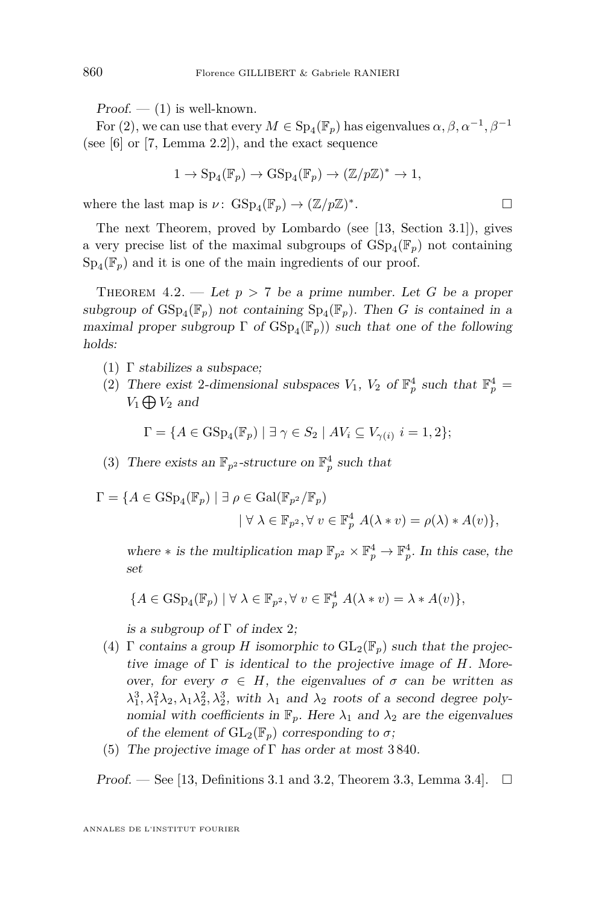$Proof. - (1)$  $Proof. - (1)$  is well-known.

For [\(2\)](#page-13-2), we can use that every  $M \in \mathrm{Sp}_4(\mathbb{F}_p)$  has eigenvalues  $\alpha, \beta, \alpha^{-1}, \beta^{-1}$ (see [\[6\]](#page-26-9) or [\[7,](#page-26-8) Lemma 2.2]), and the exact sequence

$$
1 \to \mathrm{Sp}_4(\mathbb{F}_p) \to \mathrm{GSp}_4(\mathbb{F}_p) \to (\mathbb{Z}/p\mathbb{Z})^* \to 1,
$$

where the last map is  $\nu$ :  $GSp_4(\mathbb{F}_p) \to (\mathbb{Z}/p\mathbb{Z})^*$ . — Первый процесс в постановки программа в серверном становки производительно становки производите с производ<br>В серверном становки производительно становки производительно становки производительно становки производительн

The next Theorem, proved by Lombardo (see [\[13,](#page-27-7) Section 3.1]), gives a very precise list of the maximal subgroups of  $\mathrm{GSp}_4(\mathbb{F}_p)$  not containing  $\text{Sp}_4(\mathbb{F}_p)$  and it is one of the main ingredients of our proof.

<span id="page-14-0"></span>THEOREM 4.2. — Let  $p > 7$  be a prime number. Let G be a proper subgroup of  $GSp_4(\mathbb{F}_p)$  not containing  $Sp_4(\mathbb{F}_p)$ . Then *G* is contained in a maximal proper subgroup  $\Gamma$  of  $GSp_4(\mathbb{F}_p)$ ) such that one of the following holds:

- (1)  $\Gamma$  stabilizes a subspace;
- (2) There exist 2-dimensional subspaces  $V_1$ ,  $V_2$  of  $\mathbb{F}_p^4$  such that  $\mathbb{F}_p^4$  =  $V_1 \bigoplus V_2$  and

$$
\Gamma = \{ A \in \operatorname{GSp}_4(\mathbb{F}_p) \mid \exists \ \gamma \in S_2 \mid AV_i \subseteq V_{\gamma(i)} \ i = 1, 2 \};
$$

- (3) There exists an  $\mathbb{F}_{p^2}$ -structure on  $\mathbb{F}_p^4$  such that
- $\Gamma = \{A \in \mathrm{GSp}_4(\mathbb{F}_p) \mid \exists \rho \in \mathrm{Gal}(\mathbb{F}_{p^2}/\mathbb{F}_p)\}$  $| \forall \lambda \in \mathbb{F}_{p^2}, \forall v \in \mathbb{F}_p^4$   $A(\lambda * v) = \rho(\lambda) * A(v)$ ,

where  $*$  is the multiplication map  $\mathbb{F}_{p^2} \times \mathbb{F}_p^4 \to \mathbb{F}_p^4$ . In this case, the set

$$
\{A\in\mathrm{GSp}_4(\mathbb{F}_p)\mid\forall\ \lambda\in\mathbb{F}_{p^2},\forall\ v\in\mathbb{F}_p^4\ A(\lambda*v)=\lambda*A(v)\},
$$

is a subgroup of  $\Gamma$  of index 2;

- (4)  $\Gamma$  contains a group *H* isomorphic to  $GL_2(\mathbb{F}_p)$  such that the projective image of Γ is identical to the projective image of *H*. Moreover, for every  $\sigma \in H$ , the eigenvalues of  $\sigma$  can be written as  $\lambda_1^3, \lambda_1^2 \lambda_2, \lambda_1 \lambda_2^2, \lambda_2^3$ , with  $\lambda_1$  and  $\lambda_2$  roots of a second degree polynomial with coefficients in  $\mathbb{F}_p$ . Here  $\lambda_1$  and  $\lambda_2$  are the eigenvalues of the element of  $GL_2(\mathbb{F}_p)$  corresponding to  $\sigma$ ;
- (5) The projective image of  $\Gamma$  has order at most 3840.

Proof. — See [\[13,](#page-27-7) Definitions 3.1 and 3.2, Theorem 3.3, Lemma 3.4].  $\Box$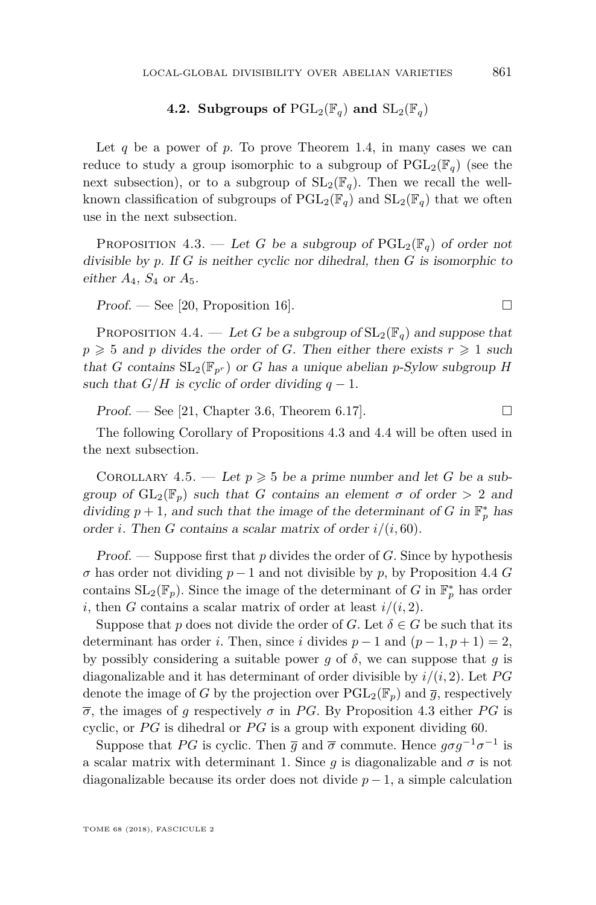#### **4.2. Subgroups of**  $PGL_2(\mathbb{F}_q)$  and  $SL_2(\mathbb{F}_q)$

Let  $q$  be a power of  $p$ . To prove Theorem [1.4,](#page-4-0) in many cases we can reduce to study a group isomorphic to a subgroup of  $PGL_2(\mathbb{F}_q)$  (see the next subsection), or to a subgroup of  $SL_2(\mathbb{F}_q)$ . Then we recall the wellknown classification of subgroups of  $PGL_2(\mathbb{F}_q)$  and  $SL_2(\mathbb{F}_q)$  that we often use in the next subsection.

<span id="page-15-0"></span>PROPOSITION 4.3. — Let *G* be a subgroup of  $PGL_2(\mathbb{F}_q)$  of order not divisible by *p*. If *G* is neither cyclic nor dihedral, then *G* is isomorphic to either *A*4, *S*<sup>4</sup> or *A*5.

 $Proof.$  — See [\[20,](#page-27-8) Proposition 16].

<span id="page-15-1"></span>PROPOSITION 4.4. — Let *G* be a subgroup of  $SL_2(\mathbb{F}_q)$  and suppose that  $p \geq 5$  and *p* divides the order of *G*. Then either there exists  $r \geq 1$  such that *G* contains  $SL_2(\mathbb{F}_{p^r})$  or *G* has a unique abelian *p*-Sylow subgroup *H* such that  $G/H$  is cyclic of order dividing  $q-1$ .

Proof. — See [\[21,](#page-27-9) Chapter 3.6, Theorem 6.17].

The following Corollary of Propositions [4.3](#page-15-0) and [4.4](#page-15-1) will be often used in the next subsection.

<span id="page-15-2"></span>COROLLARY 4.5. — Let  $p \ge 5$  be a prime number and let *G* be a subgroup of  $GL_2(\mathbb{F}_p)$  such that *G* contains an element  $\sigma$  of order  $> 2$  and dividing  $p + 1$ , and such that the image of the determinant of *G* in  $\mathbb{F}_p^*$  has order *i*. Then *G* contains a scalar matrix of order *i/*(*i,* 60).

Proof. — Suppose first that *p* divides the order of *G*. Since by hypothesis  $\sigma$  has order not dividing  $p-1$  and not divisible by  $p$ , by Proposition [4.4](#page-15-1) *G* contains  $SL_2(\mathbb{F}_p)$ . Since the image of the determinant of *G* in  $\mathbb{F}_p^*$  has order *i*, then *G* contains a scalar matrix of order at least  $i/(i, 2)$ .

Suppose that *p* does not divide the order of *G*. Let  $\delta \in G$  be such that its determinant has order *i*. Then, since *i* divides  $p-1$  and  $(p-1, p+1) = 2$ , by possibly considering a suitable power  $g$  of  $\delta$ , we can suppose that  $g$  is diagonalizable and it has determinant of order divisible by *i/*(*i,* 2). Let *P G* denote the image of *G* by the projection over  $PGL_2(\mathbb{F}_p)$  and  $\overline{g}$ , respectively  $\overline{\sigma}$ , the images of *g* respectively  $\sigma$  in *PG*. By Proposition [4.3](#page-15-0) either *PG* is cyclic, or PG is dihedral or PG is a group with exponent dividing 60.

Suppose that *PG* is cyclic. Then  $\bar{g}$  and  $\bar{\sigma}$  commute. Hence  $g\sigma g^{-1}\sigma^{-1}$  is a scalar matrix with determinant 1. Since  $g$  is diagonalizable and  $\sigma$  is not diagonalizable because its order does not divide  $p-1$ , a simple calculation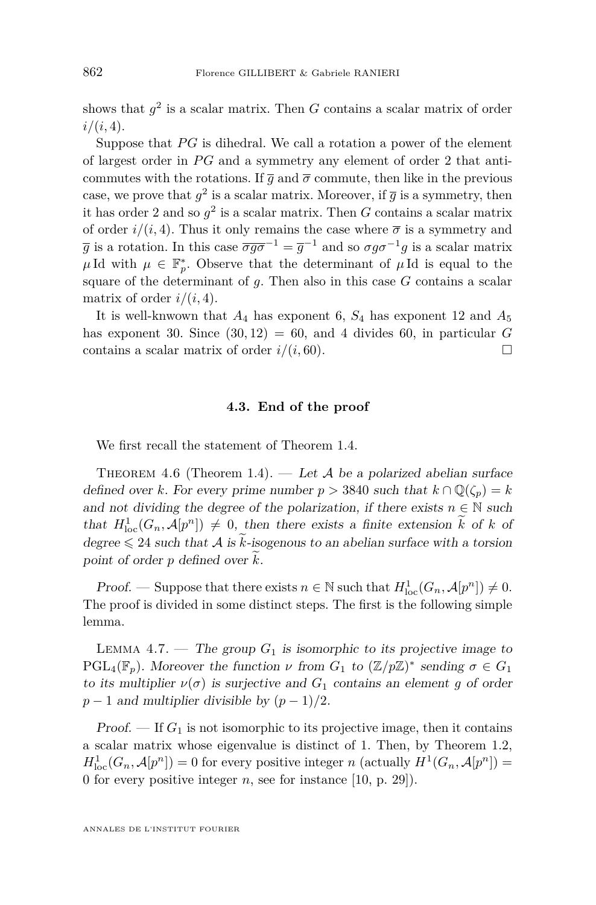shows that  $g^2$  is a scalar matrix. Then  $G$  contains a scalar matrix of order *i/*(*i,* 4).

Suppose that PG is dihedral. We call a rotation a power of the element of largest order in *P G* and a symmetry any element of order 2 that anticommutes with the rotations. If  $\overline{q}$  and  $\overline{\sigma}$  commute, then like in the previous case, we prove that  $g^2$  is a scalar matrix. Moreover, if  $\overline{g}$  is a symmetry, then it has order 2 and so  $g^2$  is a scalar matrix. Then *G* contains a scalar matrix of order  $i/(i, 4)$ . Thus it only remains the case where  $\bar{\sigma}$  is a symmetry and  $\overline{g}$  is a rotation. In this case  $\overline{\sigma g \sigma}^{-1} = \overline{g}^{-1}$  and so  $\sigma g \sigma^{-1} g$  is a scalar matrix  $\mu$ Id with  $\mu \in \mathbb{F}_p^*$ . Observe that the determinant of  $\mu$ Id is equal to the square of the determinant of *g*. Then also in this case *G* contains a scalar matrix of order  $i/(i, 4)$ .

It is well-knwown that  $A_4$  has exponent 6,  $S_4$  has exponent 12 and  $A_5$ has exponent 30. Since  $(30, 12) = 60$ , and 4 divides 60, in particular *G* contains a scalar matrix of order  $i/(i, 60)$ .

#### **4.3. End of the proof**

We first recall the statement of Theorem [1.4.](#page-4-0)

THEOREM 4.6 (Theorem 1.4). — Let  $A$  be a polarized abelian surface defined over *k*. For every prime number  $p > 3840$  such that  $k \cap \mathbb{Q}(\zeta_p) = k$ and not dividing the degree of the polarization, if there exists  $n \in \mathbb{N}$  such that  $H_{\text{loc}}^1(G_n, \mathcal{A}[p^n]) \neq 0$ , then there exists a finite extension k of k of degree  $\leq 24$  such that A is  $\tilde{k}$ -isogenous to an abelian surface with a torsion point of order  $p$  defined over  $k$ .

Proof. — Suppose that there exists  $n \in \mathbb{N}$  such that  $H_{\text{loc}}^1(G_n, \mathcal{A}[p^n]) \neq 0$ . The proof is divided in some distinct steps. The first is the following simple lemma.

<span id="page-16-0"></span>LEMMA 4.7. — The group  $G_1$  is isomorphic to its projective image to PGL<sub>4</sub>( $\mathbb{F}_p$ ). Moreover the function  $\nu$  from  $G_1$  to  $(\mathbb{Z}/p\mathbb{Z})^*$  sending  $\sigma \in G_1$ to its multiplier  $\nu(\sigma)$  is surjective and  $G_1$  contains an element g of order  $p-1$  and multiplier divisible by  $(p-1)/2$ .

Proof.  $\mathcal{F}$  If  $G_1$  is not isomorphic to its projective image, then it contains a scalar matrix whose eigenvalue is distinct of 1. Then, by Theorem [1.2,](#page-3-0)  $H_{\text{loc}}^1(G_n, \mathcal{A}[p^n]) = 0$  for every positive integer *n* (actually  $H^1(G_n, \mathcal{A}[p^n]) =$ 0 for every positive integer *n*, see for instance [\[10,](#page-26-2) p. 29]).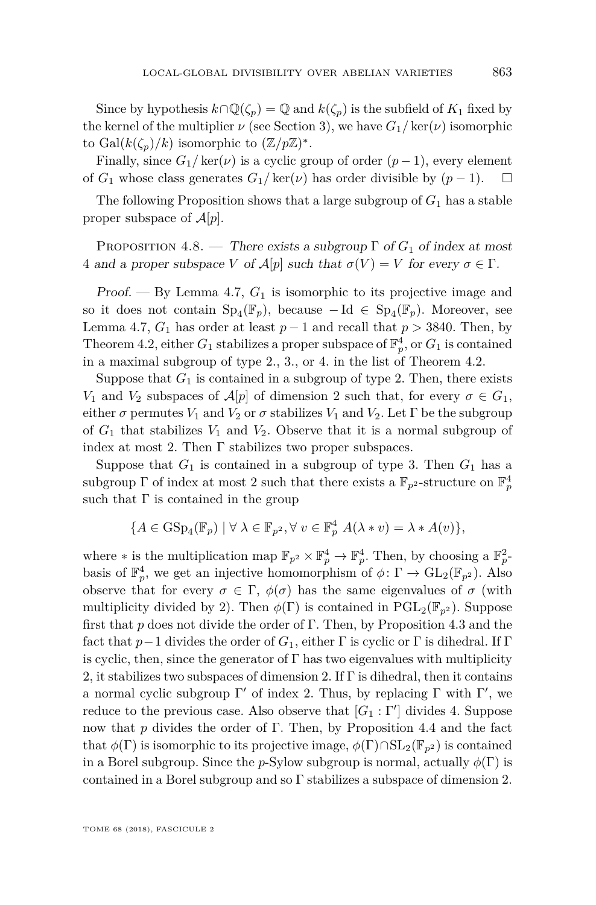Since by hypothesis  $k \cap \mathbb{Q}(\zeta_p) = \mathbb{Q}$  and  $k(\zeta_p)$  is the subfield of  $K_1$  fixed by the kernel of the multiplier  $\nu$  (see Section 3), we have  $G_1/\text{ker}(\nu)$  isomorphic to Gal $(k(\zeta_p)/k)$  isomorphic to  $(\mathbb{Z}/p\mathbb{Z})^*$ .

Finally, since  $G_1$ / ker( $\nu$ ) is a cyclic group of order ( $p-1$ ), every element of  $G_1$  whose class generates  $G_1$ / ker( $\nu$ ) has order divisible by ( $p-1$ ). □

The following Proposition shows that a large subgroup of *G*<sup>1</sup> has a stable proper subspace of  $\mathcal{A}[p]$ .

<span id="page-17-0"></span>PROPOSITION 4.8. — There exists a subgroup  $\Gamma$  of  $G_1$  of index at most 4 and a proper subspace *V* of  $\mathcal{A}[p]$  such that  $\sigma(V) = V$  for every  $\sigma \in \Gamma$ .

Proof. — By Lemma [4.7,](#page-16-0) *G*<sup>1</sup> is isomorphic to its projective image and so it does not contain  $Sp_4(\mathbb{F}_p)$ , because  $-\text{Id} \in Sp_4(\mathbb{F}_p)$ . Moreover, see Lemma [4.7,](#page-16-0)  $G_1$  has order at least  $p-1$  and recall that  $p > 3840$ . Then, by Theorem [4.2,](#page-14-0) either  $G_1$  stabilizes a proper subspace of  $\mathbb{F}_p^4$ , or  $G_1$  is contained in a maximal subgroup of type 2., 3., or 4. in the list of Theorem [4.2.](#page-14-0)

Suppose that  $G_1$  is contained in a subgroup of type 2. Then, there exists *V*<sub>1</sub> and *V*<sub>2</sub> subspaces of  $\mathcal{A}[p]$  of dimension 2 such that, for every  $\sigma \in G_1$ , either  $\sigma$  permutes  $V_1$  and  $V_2$  or  $\sigma$  stabilizes  $V_1$  and  $V_2$ . Let  $\Gamma$  be the subgroup of  $G_1$  that stabilizes  $V_1$  and  $V_2$ . Observe that it is a normal subgroup of index at most 2. Then Γ stabilizes two proper subspaces.

Suppose that  $G_1$  is contained in a subgroup of type 3. Then  $G_1$  has a subgroup  $\Gamma$  of index at most 2 such that there exists a  $\mathbb{F}_{p^2}$ -structure on  $\mathbb{F}_p^4$ such that  $\Gamma$  is contained in the group

$$
\{A\in\mathrm{GSp}_4(\mathbb{F}_p)\mid\forall\ \lambda\in\mathbb{F}_{p^2},\forall\ v\in\mathbb{F}_p^4\ A(\lambda*v)=\lambda*A(v)\},\
$$

where  $*$  is the multiplication map  $\mathbb{F}_{p^2} \times \mathbb{F}_p^4 \to \mathbb{F}_p^4$ . Then, by choosing a  $\mathbb{F}_p^2$ . basis of  $\mathbb{F}_p^4$ , we get an injective homomorphism of  $\phi: \Gamma \to \text{GL}_2(\mathbb{F}_{p^2})$ . Also observe that for every  $\sigma \in \Gamma$ ,  $\phi(\sigma)$  has the same eigenvalues of  $\sigma$  (with multiplicity divided by 2). Then  $\phi(\Gamma)$  is contained in PGL<sub>2</sub>( $\mathbb{F}_{p^2}$ ). Suppose first that *p* does not divide the order of Γ. Then, by Proposition [4.3](#page-15-0) and the fact that  $p-1$  divides the order of  $G_1$ , either  $\Gamma$  is cyclic or  $\Gamma$  is dihedral. If  $\Gamma$ is cyclic, then, since the generator of  $\Gamma$  has two eigenvalues with multiplicity 2, it stabilizes two subspaces of dimension 2. If  $\Gamma$  is dihedral, then it contains a normal cyclic subgroup  $\Gamma'$  of index 2. Thus, by replacing  $\Gamma$  with  $\Gamma'$ , we reduce to the previous case. Also observe that  $[G_1 : \Gamma']$  divides 4. Suppose now that *p* divides the order of Γ. Then, by Proposition [4.4](#page-15-1) and the fact that  $\phi(\Gamma)$  is isomorphic to its projective image,  $\phi(\Gamma) \cap SL_2(\mathbb{F}_{p^2})$  is contained in a Borel subgroup. Since the *p*-Sylow subgroup is normal, actually  $\phi(\Gamma)$  is contained in a Borel subgroup and so Γ stabilizes a subspace of dimension 2.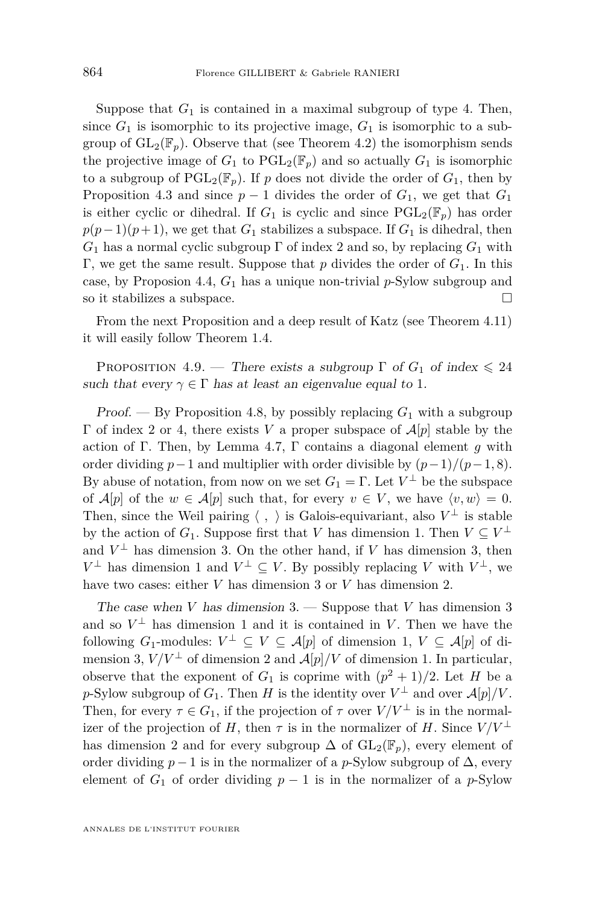Suppose that  $G_1$  is contained in a maximal subgroup of type 4. Then, since  $G_1$  is isomorphic to its projective image,  $G_1$  is isomorphic to a subgroup of  $GL_2(\mathbb{F}_p)$ . Observe that (see Theorem [4.2\)](#page-14-0) the isomorphism sends the projective image of  $G_1$  to  $PGL_2(\mathbb{F}_p)$  and so actually  $G_1$  is isomorphic to a subgroup of  $\text{PGL}_2(\mathbb{F}_p)$ . If p does not divide the order of  $G_1$ , then by Proposition [4.3](#page-15-0) and since  $p-1$  divides the order of  $G_1$ , we get that  $G_1$ is either cyclic or dihedral. If  $G_1$  is cyclic and since  $PGL_2(\mathbb{F}_p)$  has order  $p(p-1)(p+1)$ , we get that *G*<sub>1</sub> stabilizes a subspace. If *G*<sub>1</sub> is dihedral, then  $G_1$  has a normal cyclic subgroup  $\Gamma$  of index 2 and so, by replacing  $G_1$  with Γ, we get the same result. Suppose that *p* divides the order of *G*1. In this case, by Proposion [4.4,](#page-15-1) *G*<sup>1</sup> has a unique non-trivial *p*-Sylow subgroup and so it stabilizes a subspace.  $\Box$ 

From the next Proposition and a deep result of Katz (see Theorem [4.11\)](#page-23-1) it will easily follow Theorem [1.4.](#page-4-0)

<span id="page-18-0"></span>PROPOSITION 4.9. — There exists a subgroup  $\Gamma$  of  $G_1$  of index  $\leq 24$ such that every  $\gamma \in \Gamma$  has at least an eigenvalue equal to 1.

Proof. — By Proposition [4.8,](#page-17-0) by possibly replacing *G*<sup>1</sup> with a subgroup Γ of index 2 or 4, there exists *V* a proper subspace of A[*p*] stable by the action of Γ. Then, by Lemma [4.7,](#page-16-0) Γ contains a diagonal element *g* with order dividing  $p-1$  and multiplier with order divisible by  $(p-1)/(p-1, 8)$ . By abuse of notation, from now on we set  $G_1 = \Gamma$ . Let  $V^{\perp}$  be the subspace of  $\mathcal{A}[p]$  of the  $w \in \mathcal{A}[p]$  such that, for every  $v \in V$ , we have  $\langle v, w \rangle = 0$ . Then, since the Weil pairing  $\langle , \rangle$  is Galois-equivariant, also  $V^{\perp}$  is stable by the action of  $G_1$ . Suppose first that *V* has dimension 1. Then  $V \subseteq V^{\perp}$ and  $V^{\perp}$  has dimension 3. On the other hand, if *V* has dimension 3, then *V*<sup>⊥</sup> has dimension 1 and *V*<sup>⊥</sup> ⊆ *V*. By possibly replacing *V* with *V*<sup>⊥</sup>, we have two cases: either *V* has dimension 3 or *V* has dimension 2.

The case when *V* has dimension 3. — Suppose that *V* has dimension 3 and so  $V^{\perp}$  has dimension 1 and it is contained in *V*. Then we have the following  $G_1$ -modules:  $V^{\perp} \subseteq V \subseteq \mathcal{A}[p]$  of dimension 1,  $V \subseteq \mathcal{A}[p]$  of dimension 3,  $V/V^{\perp}$  of dimension 2 and  $\mathcal{A}[p]/V$  of dimension 1. In particular, observe that the exponent of  $G_1$  is coprime with  $(p^2 + 1)/2$ . Let *H* be a *p*-Sylow subgroup of  $G_1$ . Then *H* is the identity over  $V^{\perp}$  and over  $\mathcal{A}[p]/V$ . Then, for every  $\tau \in G_1$ , if the projection of  $\tau$  over  $V/V^{\perp}$  is in the normalizer of the projection of *H*, then  $\tau$  is in the normalizer of *H*. Since  $V/V^{\perp}$ has dimension 2 and for every subgroup  $\Delta$  of  $GL_2(\mathbb{F}_p)$ , every element of order dividing  $p-1$  is in the normalizer of a *p*-Sylow subgroup of  $\Delta$ , every element of  $G_1$  of order dividing  $p-1$  is in the normalizer of a  $p$ -Sylow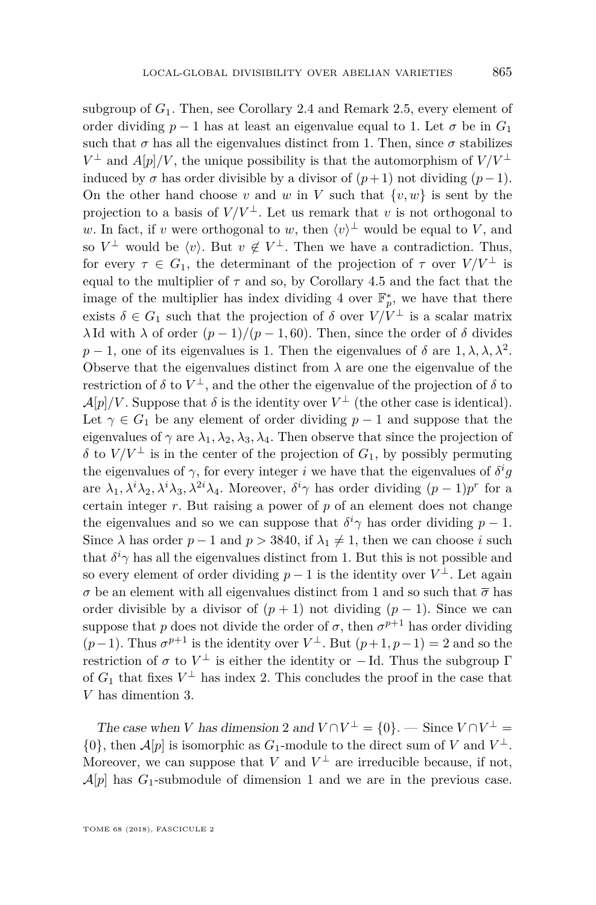subgroup of *G*1. Then, see Corollary [2.4](#page-6-0) and Remark [2.5,](#page-7-1) every element of order dividing  $p-1$  has at least an eigenvalue equal to 1. Let  $\sigma$  be in  $G_1$ such that  $\sigma$  has all the eigenvalues distinct from 1. Then, since  $\sigma$  stabilizes *V*<sup>⊥</sup> and *A*[*p*]/*V*, the unique possibility is that the automorphism of  $V/V$ <sup>⊥</sup> induced by  $\sigma$  has order divisible by a divisor of  $(p+1)$  not dividing  $(p-1)$ . On the other hand choose *v* and *w* in *V* such that  $\{v, w\}$  is sent by the projection to a basis of  $V/V^{\perp}$ . Let us remark that *v* is not orthogonal to *w*. In fact, if *v* were orthogonal to *w*, then  $\langle v \rangle^{\perp}$  would be equal to *V*, and so  $V^{\perp}$  would be  $\langle v \rangle$ . But  $v \notin V^{\perp}$ . Then we have a contradiction. Thus, for every  $\tau \in G_1$ , the determinant of the projection of  $\tau$  over  $V/V^{\perp}$  is equal to the multiplier of  $\tau$  and so, by Corollary [4.5](#page-15-2) and the fact that the image of the multiplier has index dividing 4 over  $\mathbb{F}_p^*$ , we have that there exists  $\delta \in G_1$  such that the projection of  $\delta$  over  $V/V^{\perp}$  is a scalar matrix *λ* Id with *λ* of order  $(p − 1)/(p − 1, 60)$ . Then, since the order of *δ* divides *p* − 1, one of its eigenvalues is 1. Then the eigenvalues of  $\delta$  are  $1, \lambda, \lambda, \lambda^2$ . Observe that the eigenvalues distinct from  $\lambda$  are one the eigenvalue of the restriction of  $\delta$  to  $V^{\perp}$ , and the other the eigenvalue of the projection of  $\delta$  to  $\mathcal{A}[p]/V$ . Suppose that  $\delta$  is the identity over  $V^{\perp}$  (the other case is identical). Let  $\gamma \in G_1$  be any element of order dividing  $p-1$  and suppose that the eigenvalues of  $\gamma$  are  $\lambda_1, \lambda_2, \lambda_3, \lambda_4$ . Then observe that since the projection of *δ* to *V*/*V*<sup>⊥</sup> is in the center of the projection of *G*<sub>1</sub>, by possibly permuting the eigenvalues of  $\gamma$ , for every integer *i* we have that the eigenvalues of  $\delta^i g$ are  $\lambda_1, \lambda^i \lambda_2, \lambda^i \lambda_3, \lambda^{2i} \lambda_4$ . Moreover,  $\delta^i \gamma$  has order dividing  $(p-1)p^r$  for a certain integer  $r$ . But raising a power of  $p$  of an element does not change the eigenvalues and so we can suppose that  $\delta^i \gamma$  has order dividing  $p-1$ . Since  $\lambda$  has order  $p-1$  and  $p > 3840$ , if  $\lambda_1 \neq 1$ , then we can choose *i* such that  $\delta^i \gamma$  has all the eigenvalues distinct from 1. But this is not possible and so every element of order dividing  $p-1$  is the identity over  $V^{\perp}$ . Let again *σ* be an element with all eigenvalues distinct from 1 and so such that  $\bar{\sigma}$  has order divisible by a divisor of  $(p + 1)$  not dividing  $(p - 1)$ . Since we can suppose that *p* does not divide the order of  $\sigma$ , then  $\sigma^{p+1}$  has order dividing  $(p-1)$ . Thus  $\sigma^{p+1}$  is the identity over  $V^{\perp}$ . But  $(p+1, p-1) = 2$  and so the restriction of  $\sigma$  to  $V^{\perp}$  is either the identity or  $-\text{Id}$ . Thus the subgroup  $\Gamma$ of  $G_1$  that fixes  $V^{\perp}$  has index 2. This concludes the proof in the case that *V* has dimention 3.

The case when *V* has dimension 2 and  $V \cap V^{\perp} = \{0\}$ . — Since  $V \cap V^{\perp} =$  $\{0\}$ , then  $\mathcal{A}[p]$  is isomorphic as  $G_1$ -module to the direct sum of  $V$  and  $V^{\perp}$ . Moreover, we can suppose that *V* and  $V^{\perp}$  are irreducible because, if not,  $\mathcal{A}[p]$  has  $G_1$ -submodule of dimension 1 and we are in the previous case.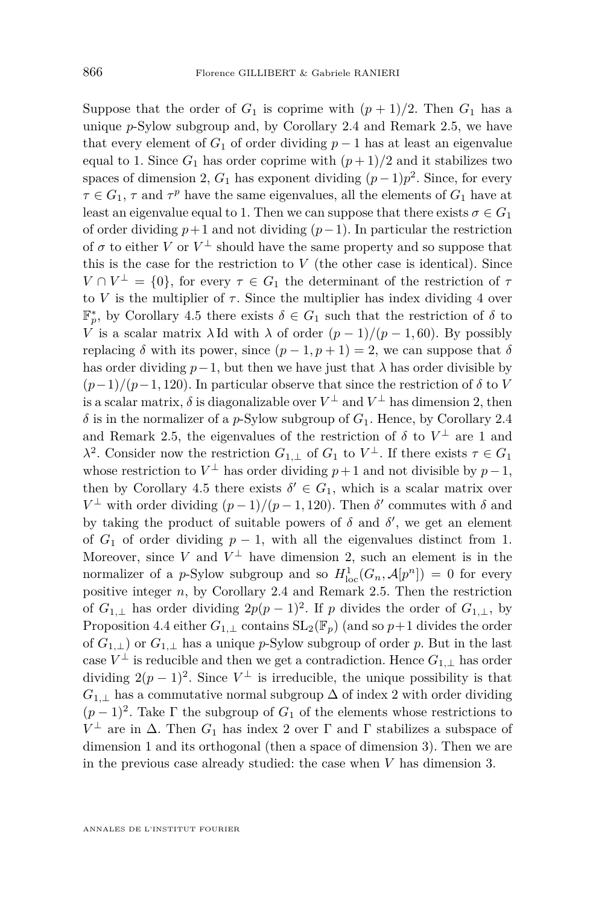Suppose that the order of  $G_1$  is coprime with  $(p+1)/2$ . Then  $G_1$  has a unique *p*-Sylow subgroup and, by Corollary [2.4](#page-6-0) and Remark [2.5,](#page-7-1) we have that every element of  $G_1$  of order dividing  $p-1$  has at least an eigenvalue equal to 1. Since  $G_1$  has order coprime with  $(p+1)/2$  and it stabilizes two spaces of dimension 2,  $G_1$  has exponent dividing  $(p-1)p^2$ . Since, for every  $\tau \in G_1$ ,  $\tau$  and  $\tau^p$  have the same eigenvalues, all the elements of  $G_1$  have at least an eigenvalue equal to 1. Then we can suppose that there exists  $\sigma \in G_1$ of order dividing  $p+1$  and not dividing  $(p-1)$ . In particular the restriction of  $\sigma$  to either *V* or  $V^{\perp}$  should have the same property and so suppose that this is the case for the restriction to  $V$  (the other case is identical). Since  $V \cap V^{\perp} = \{0\}$ , for every  $\tau \in G_1$  the determinant of the restriction of  $\tau$ to *V* is the multiplier of  $\tau$ . Since the multiplier has index dividing 4 over  $\mathbb{F}_p^*$ , by Corollary [4.5](#page-15-2) there exists  $\delta \in G_1$  such that the restriction of  $\delta$  to *V* is a scalar matrix  $\lambda$  Id with  $\lambda$  of order  $(p-1)/(p-1, 60)$ . By possibly replacing  $\delta$  with its power, since  $(p-1, p+1) = 2$ , we can suppose that  $\delta$ has order dividing  $p-1$ , but then we have just that  $\lambda$  has order divisible by  $(p-1)/(p-1, 120)$ . In particular observe that since the restriction of  $\delta$  to *V* is a scalar matrix,  $\delta$  is diagonalizable over  $V^{\perp}$  and  $V^{\perp}$  has dimension 2, then  $\delta$  is in the normalizer of a *p*-Sylow subgroup of  $G_1$ . Hence, by Corollary [2.4](#page-6-0) and Remark [2.5,](#page-7-1) the eigenvalues of the restriction of  $\delta$  to  $V^{\perp}$  are 1 and *λ*<sup>2</sup>. Consider now the restriction *G*<sub>1</sub>,⊥</sup> of *G*<sub>1</sub> to *V*<sup>⊥</sup>. If there exists *τ* ∈ *G*<sub>1</sub> whose restriction to  $V^{\perp}$  has order dividing  $p+1$  and not divisible by  $p-1$ , then by Corollary [4.5](#page-15-2) there exists  $\delta' \in G_1$ , which is a scalar matrix over *V*<sup>⊥</sup> with order dividing  $(p-1)/(p-1, 120)$ . Then  $\delta'$  commutes with  $\delta$  and by taking the product of suitable powers of  $\delta$  and  $\delta'$ , we get an element of  $G_1$  of order dividing  $p-1$ , with all the eigenvalues distinct from 1. Moreover, since *V* and  $V^{\perp}$  have dimension 2, such an element is in the normalizer of a *p*-Sylow subgroup and so  $H_{\text{loc}}^1(G_n, \mathcal{A}[p^n]) = 0$  for every positive integer *n*, by Corollary [2.4](#page-6-0) and Remark [2.5.](#page-7-1) Then the restriction of  $G_{1,\perp}$  has order dividing  $2p(p-1)^2$ . If *p* divides the order of  $G_{1,\perp}$ , by Proposition [4.4](#page-15-1) either  $G_{1,1}$  contains  $SL_2(\mathbb{F}_p)$  (and so  $p+1$  divides the order of  $G_{1,\perp}$  or  $G_{1,\perp}$  has a unique *p*-Sylow subgroup of order *p*. But in the last  $\text{case } V^{\perp}$  is reducible and then we get a contradiction. Hence  $G_{1,\perp}$  has order dividing  $2(p-1)^2$ . Since  $V^{\perp}$  is irreducible, the unique possibility is that  $G_{1,1}$  has a commutative normal subgroup  $\Delta$  of index 2 with order dividing  $(p-1)^2$ . Take  $\Gamma$  the subgroup of  $G_1$  of the elements whose restrictions to  $V^{\perp}$  are in Δ. Then  $G_1$  has index 2 over Γ and Γ stabilizes a subspace of dimension 1 and its orthogonal (then a space of dimension 3). Then we are in the previous case already studied: the case when *V* has dimension 3.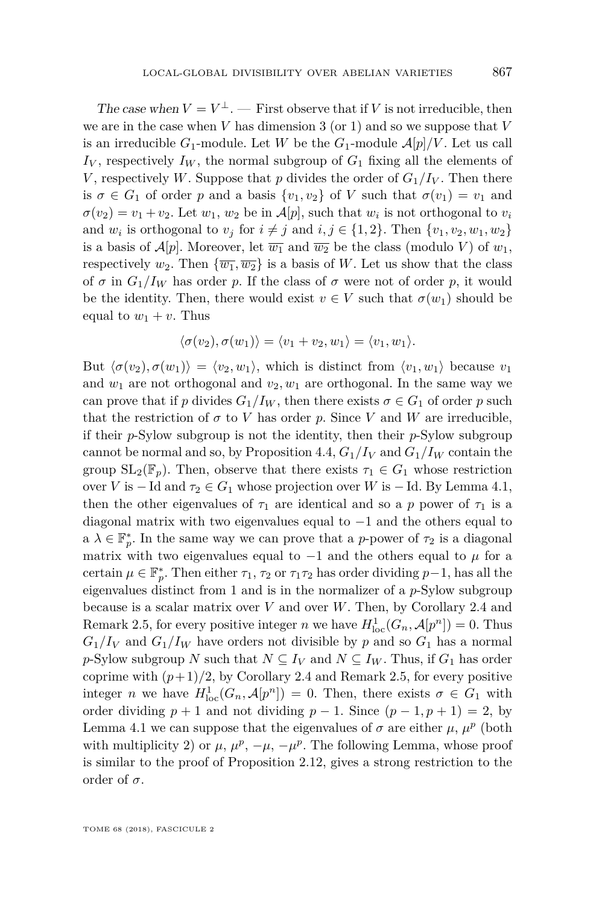The case when  $V = V^{\perp}$ . — First observe that if *V* is not irreducible, then we are in the case when *V* has dimension 3 (or 1) and so we suppose that *V* is an irreducible  $G_1$ -module. Let *W* be the  $G_1$ -module  $\mathcal{A}[p]/V$ . Let us call  $I_V$ , respectively  $I_W$ , the normal subgroup of  $G_1$  fixing all the elements of *V*, respectively *W*. Suppose that *p* divides the order of  $G_1/I_V$ . Then there is  $\sigma \in G_1$  of order *p* and a basis  $\{v_1, v_2\}$  of *V* such that  $\sigma(v_1) = v_1$  and  $\sigma(v_2) = v_1 + v_2$ . Let  $w_1, w_2$  be in  $\mathcal{A}[p]$ , such that  $w_i$  is not orthogonal to  $v_i$ and  $w_i$  is orthogonal to  $v_j$  for  $i \neq j$  and  $i, j \in \{1, 2\}$ . Then  $\{v_1, v_2, w_1, w_2\}$ is a basis of  $\mathcal{A}[p]$ . Moreover, let  $\overline{w_1}$  and  $\overline{w_2}$  be the class (modulo *V*) of  $w_1$ , respectively  $w_2$ . Then  $\{\overline{w_1}, \overline{w_2}\}$  is a basis of W. Let us show that the class of  $\sigma$  in  $G_1/I_W$  has order *p*. If the class of  $\sigma$  were not of order *p*, it would be the identity. Then, there would exist  $v \in V$  such that  $\sigma(w_1)$  should be equal to  $w_1 + v$ . Thus

$$
\langle \sigma(v_2), \sigma(w_1) \rangle = \langle v_1 + v_2, w_1 \rangle = \langle v_1, w_1 \rangle.
$$

But  $\langle \sigma(v_2), \sigma(w_1) \rangle = \langle v_2, w_1 \rangle$ , which is distinct from  $\langle v_1, w_1 \rangle$  because  $v_1$ and  $w_1$  are not orthogonal and  $v_2, w_1$  are orthogonal. In the same way we can prove that if *p* divides  $G_1/I_W$ , then there exists  $\sigma \in G_1$  of order *p* such that the restriction of  $\sigma$  to *V* has order *p*. Since *V* and *W* are irreducible, if their *p*-Sylow subgroup is not the identity, then their *p*-Sylow subgroup cannot be normal and so, by Proposition [4.4,](#page-15-1)  $G_1/I_V$  and  $G_1/I_W$  contain the group  $SL_2(\mathbb{F}_p)$ . Then, observe that there exists  $\tau_1 \in G_1$  whose restriction over *V* is  $-$  Id and  $\tau_2 \in G_1$  whose projection over *W* is  $-$  Id. By Lemma [4.1,](#page-13-3) then the other eigenvalues of  $\tau_1$  are identical and so a *p* power of  $\tau_1$  is a diagonal matrix with two eigenvalues equal to −1 and the others equal to  $a \lambda \in \mathbb{F}_p^*$ . In the same way we can prove that a *p*-power of  $\tau_2$  is a diagonal matrix with two eigenvalues equal to  $-1$  and the others equal to  $\mu$  for a certain  $\mu \in \mathbb{F}_p^*$ . Then either  $\tau_1$ ,  $\tau_2$  or  $\tau_1 \tau_2$  has order dividing  $p-1$ , has all the eigenvalues distinct from 1 and is in the normalizer of a *p*-Sylow subgroup because is a scalar matrix over *V* and over *W*. Then, by Corollary [2.4](#page-6-0) and Remark [2.5,](#page-7-1) for every positive integer *n* we have  $H_{\text{loc}}^1(G_n, \mathcal{A}[p^n]) = 0$ . Thus  $G_1/I_V$  and  $G_1/I_W$  have orders not divisible by p and so  $G_1$  has a normal *p*-Sylow subgroup *N* such that  $N \subseteq I_V$  and  $N \subseteq I_W$ . Thus, if  $G_1$  has order coprime with  $(p+1)/2$ , by Corollary [2.4](#page-6-0) and Remark [2.5,](#page-7-1) for every positive integer *n* we have  $H_{\text{loc}}^1(G_n, \mathcal{A}[p^n]) = 0$ . Then, there exists  $\sigma \in G_1$  with order dividing  $p + 1$  and not dividing  $p - 1$ . Since  $(p - 1, p + 1) = 2$ , by Lemma [4.1](#page-13-3) we can suppose that the eigenvalues of  $\sigma$  are either  $\mu$ ,  $\mu^p$  (both with multiplicity 2) or  $\mu$ ,  $\mu^p$ ,  $-\mu$ ,  $-\mu^p$ . The following Lemma, whose proof is similar to the proof of Proposition [2.12,](#page-11-0) gives a strong restriction to the order of  $\sigma$ .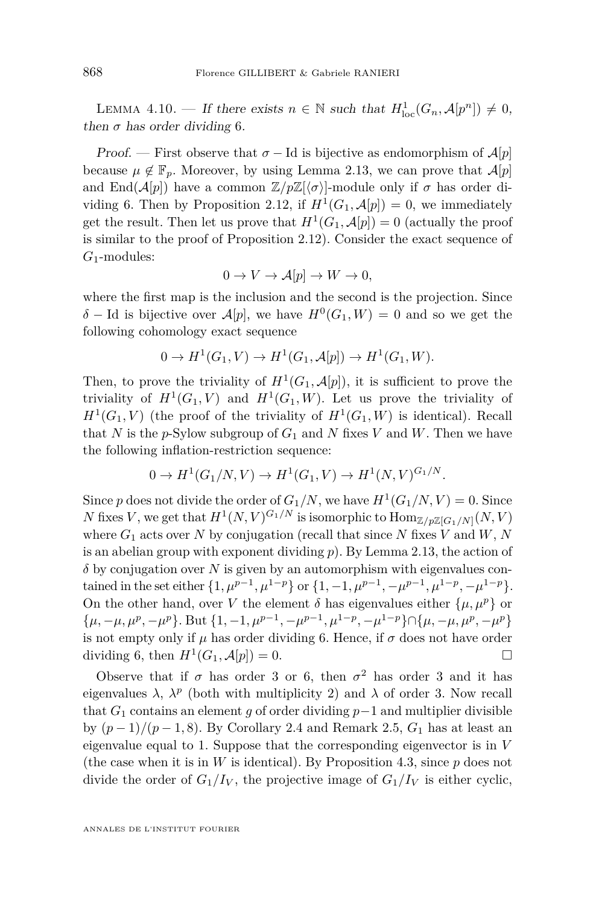LEMMA 4.10. — If there exists  $n \in \mathbb{N}$  such that  $H_{\text{loc}}^1(G_n, \mathcal{A}[p^n]) \neq 0$ , then  $\sigma$  has order dividing 6.

Proof. — First observe that  $\sigma$  – Id is bijective as endomorphism of  $\mathcal{A}[p]$ because  $\mu \notin \mathbb{F}_n$ . Moreover, by using Lemma [2.13,](#page-12-0) we can prove that  $\mathcal{A}[p]$ and End $(A[p])$  have a common  $\mathbb{Z}/p\mathbb{Z}[\langle \sigma \rangle]$ -module only if  $\sigma$  has order di-viding 6. Then by Proposition [2.12,](#page-11-0) if  $H^1(G_1, \mathcal{A}[p]) = 0$ , we immediately get the result. Then let us prove that  $H^1(G_1, \mathcal{A}[p]) = 0$  (actually the proof is similar to the proof of Proposition [2.12\)](#page-11-0). Consider the exact sequence of *G*1-modules:

$$
0 \to V \to \mathcal{A}[p] \to W \to 0,
$$

where the first map is the inclusion and the second is the projection. Since  $\delta$  − Id is bijective over  $\mathcal{A}[p]$ , we have  $H^0(G_1, W) = 0$  and so we get the following cohomology exact sequence

$$
0 \to H^1(G_1, V) \to H^1(G_1, \mathcal{A}[p]) \to H^1(G_1, W).
$$

Then, to prove the triviality of  $H^1(G_1, \mathcal{A}[p])$ , it is sufficient to prove the triviality of  $H^1(G_1, V)$  and  $H^1(G_1, W)$ . Let us prove the triviality of  $H^1(G_1, V)$  (the proof of the triviality of  $H^1(G_1, W)$  is identical). Recall that *N* is the *p*-Sylow subgroup of  $G_1$  and *N* fixes *V* and *W*. Then we have the following inflation-restriction sequence:

$$
0 \to H^1(G_1/N, V) \to H^1(G_1, V) \to H^1(N, V)^{G_1/N}.
$$

Since *p* does not divide the order of  $G_1/N$ , we have  $H^1(G_1/N, V) = 0$ . Since *N* fixes *V*, we get that  $H^1(N, V)^{G_1/N}$  is isomorphic to  $\text{Hom}_{\mathbb{Z}/p\mathbb{Z}[G_1/N]}(N, V)$ where  $G_1$  acts over  $N$  by conjugation (recall that since  $N$  fixes  $V$  and  $W, N$ is an abelian group with exponent dividing *p*). By Lemma [2.13,](#page-12-0) the action of *δ* by conjugation over *N* is given by an automorphism with eigenvalues contained in the set either  $\{1, \mu^{p-1}, \mu^{1-p}\}$  or  $\{1, -1, \mu^{p-1}, -\mu^{p-1}, \mu^{1-p}, -\mu^{1-p}\}.$ On the other hand, over *V* the element  $\delta$  has eigenvalues either  $\{\mu, \mu^p\}$  or  $\{\mu, -\mu, \mu^p, -\mu^p\}$ . But  $\{1, -1, \mu^{p-1}, -\mu^{p-1}, \mu^{1-p}, -\mu^{1-p}\} \cap \{\mu, -\mu, \mu^p, -\mu^p\}$ is not empty only if  $\mu$  has order dividing 6. Hence, if  $\sigma$  does not have order dividing 6, then  $H^1(G_1, \mathcal{A}[p]) = 0.$ 

Observe that if  $\sigma$  has order 3 or 6, then  $\sigma^2$  has order 3 and it has eigenvalues  $\lambda$ ,  $\lambda^p$  (both with multiplicity 2) and  $\lambda$  of order 3. Now recall that  $G_1$  contains an element *g* of order dividing  $p-1$  and multiplier divisible by  $(p-1)/(p-1, 8)$ . By Corollary [2.4](#page-6-0) and Remark [2.5,](#page-7-1)  $G_1$  has at least an eigenvalue equal to 1. Suppose that the corresponding eigenvector is in *V* (the case when it is in  $W$  is identical). By Proposition [4.3,](#page-15-0) since  $p$  does not divide the order of  $G_1/I_V$ , the projective image of  $G_1/I_V$  is either cyclic,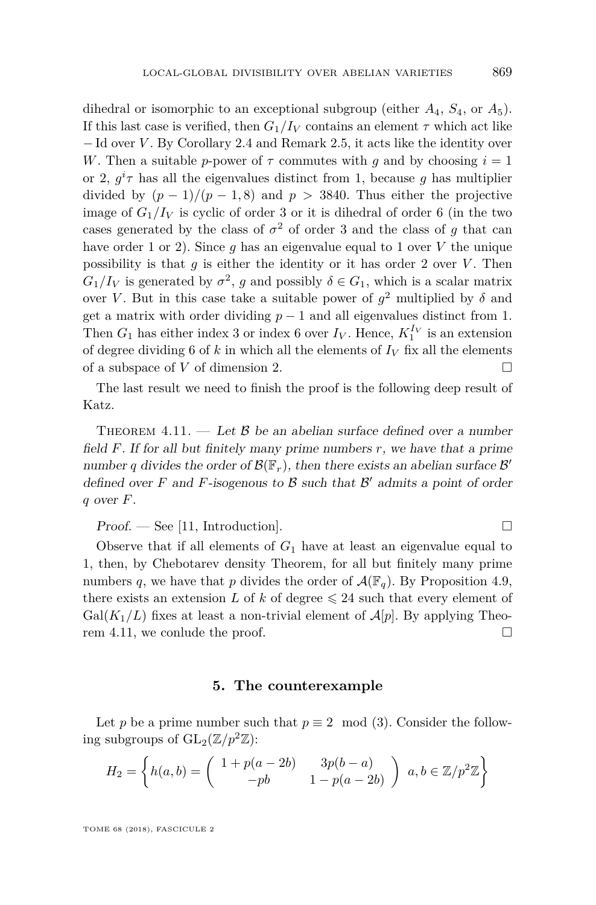dihedral or isomorphic to an exceptional subgroup (either  $A_4$ ,  $S_4$ , or  $A_5$ ). If this last case is verified, then  $G_1/I_V$  contains an element  $\tau$  which act like − Id over *V* . By Corollary [2.4](#page-6-0) and Remark [2.5,](#page-7-1) it acts like the identity over *W*. Then a suitable *p*-power of  $\tau$  commutes with *q* and by choosing  $i = 1$ or 2,  $g^i\tau$  has all the eigenvalues distinct from 1, because g has multiplier divided by  $(p-1)/(p-1,8)$  and  $p > 3840$ . Thus either the projective image of  $G_1/I_V$  is cyclic of order 3 or it is dihedral of order 6 (in the two cases generated by the class of  $\sigma^2$  of order 3 and the class of *g* that can have order 1 or 2). Since  $g$  has an eigenvalue equal to 1 over  $V$  the unique possibility is that  $g$  is either the identity or it has order 2 over  $V$ . Then  $G_1/I_V$  is generated by  $\sigma^2$ , *g* and possibly  $\delta \in G_1$ , which is a scalar matrix over *V*. But in this case take a suitable power of  $g^2$  multiplied by  $\delta$  and get a matrix with order dividing  $p-1$  and all eigenvalues distinct from 1. Then  $G_1$  has either index 3 or index 6 over  $I_V$ . Hence,  $K_1^{I_V}$  is an extension of degree dividing 6 of  $k$  in which all the elements of  $I_V$  fix all the elements of a subspace of  $V$  of dimension 2.

The last result we need to finish the proof is the following deep result of Katz.

<span id="page-23-1"></span>THEOREM 4.11. — Let  $\beta$  be an abelian surface defined over a number field *F*. If for all but finitely many prime numbers *r*, we have that a prime number *q* divides the order of  $\mathcal{B}(\mathbb{F}_r)$ , then there exists an abelian surface  $\mathcal{B}'$ defined over  $F$  and  $F$ -isogenous to  $\beta$  such that  $\beta'$  admits a point of order *q* over *F*.

 $Proof.$  — See [\[11,](#page-26-10) Introduction].

Observe that if all elements of  $G_1$  have at least an eigenvalue equal to 1, then, by Chebotarev density Theorem, for all but finitely many prime numbers q, we have that p divides the order of  $\mathcal{A}(\mathbb{F}_q)$ . By Proposition [4.9,](#page-18-0) there exists an extension *L* of *k* of degree  $\leq 24$  such that every element of  $Gal(K_1/L)$  fixes at least a non-trivial element of  $A[p]$ . By applying Theorem [4.11,](#page-23-1) we conlude the proof.

#### **5. The counterexample**

<span id="page-23-0"></span>Let *p* be a prime number such that  $p \equiv 2 \mod (3)$ . Consider the following subgroups of  $GL_2(\mathbb{Z}/p^2\mathbb{Z})$ :

$$
H_2 = \left\{ h(a,b) = \begin{pmatrix} 1 + p(a-2b) & 3p(b-a) \\ -pb & 1 - p(a-2b) \end{pmatrix} \mid a, b \in \mathbb{Z}/p^2\mathbb{Z} \right\}
$$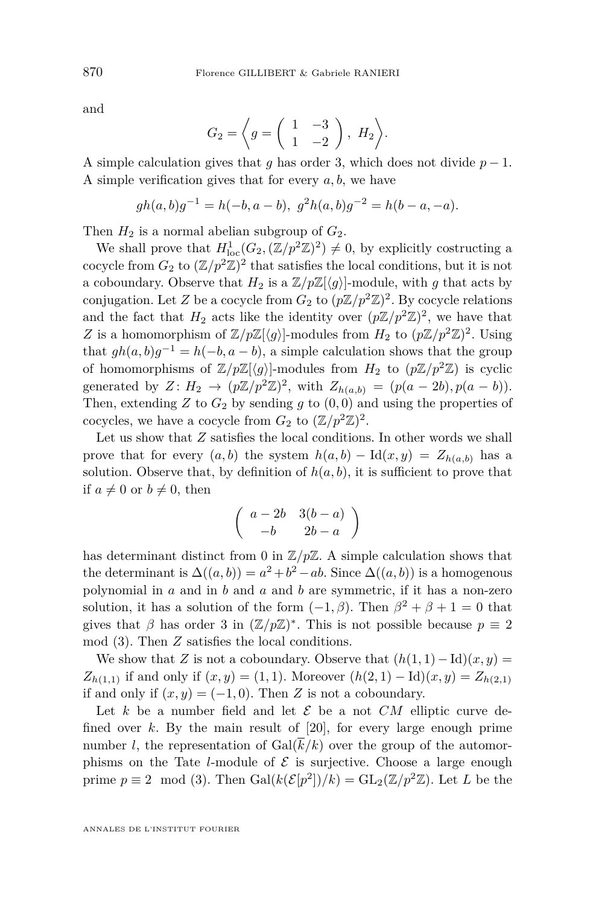and

$$
G_2 = \left\langle g = \left( \begin{array}{cc} 1 & -3 \\ 1 & -2 \end{array} \right), H_2 \right\rangle.
$$

A simple calculation gives that *g* has order 3, which does not divide  $p-1$ . A simple verification gives that for every *a, b*, we have

$$
gh(a, b)g^{-1} = h(-b, a - b), g^2h(a, b)g^{-2} = h(b - a, -a).
$$

Then  $H_2$  is a normal abelian subgroup of  $G_2$ .

We shall prove that  $H_{\text{loc}}^1(G_2,(\mathbb{Z}/p^2\mathbb{Z})^2) \neq 0$ , by explicitly costructing a cocycle from  $G_2$  to  $(\mathbb{Z}/p^2\mathbb{Z})^2$  that satisfies the local conditions, but it is not a coboundary. Observe that  $H_2$  is a  $\mathbb{Z}/p\mathbb{Z}[\langle g \rangle]$ -module, with *g* that acts by conjugation. Let *Z* be a cocycle from  $G_2$  to  $(p\mathbb{Z}/p^2\mathbb{Z})^2$ . By cocycle relations and the fact that  $H_2$  acts like the identity over  $(p\mathbb{Z}/p^2\mathbb{Z})^2$ , we have that *Z* is a homomorphism of  $\mathbb{Z}/p\mathbb{Z}[\langle g \rangle]$ -modules from  $H_2$  to  $(p\mathbb{Z}/p^2\mathbb{Z})^2$ . Using that  $gh(a, b)g^{-1} = h(-b, a - b)$ , a simple calculation shows that the group of homomorphisms of  $\mathbb{Z}/p\mathbb{Z}\langle q \rangle$ -modules from  $H_2$  to  $(p\mathbb{Z}/p^2\mathbb{Z})$  is cyclic generated by  $Z: H_2 \to (p\mathbb{Z}/p^2\mathbb{Z})^2$ , with  $Z_{h(a,b)} = (p(a-2b), p(a-b)).$ Then, extending  $Z$  to  $G_2$  by sending  $q$  to  $(0,0)$  and using the properties of cocycles, we have a cocycle from  $G_2$  to  $(\mathbb{Z}/p^2\mathbb{Z})^2$ .

Let us show that *Z* satisfies the local conditions. In other words we shall prove that for every  $(a, b)$  the system  $h(a, b) - \text{Id}(x, y) = Z_{h(a, b)}$  has a solution. Observe that, by definition of  $h(a, b)$ , it is sufficient to prove that if  $a \neq 0$  or  $b \neq 0$ , then

$$
\left(\begin{array}{cc}a-2b&3(b-a)\\-b&2b-a\end{array}\right)
$$

has determinant distinct from 0 in  $\mathbb{Z}/p\mathbb{Z}$ . A simple calculation shows that the determinant is  $\Delta((a, b)) = a^2 + b^2 - ab$ . Since  $\Delta((a, b))$  is a homogenous polynomial in *a* and in *b* and *a* and *b* are symmetric, if it has a non-zero solution, it has a solution of the form  $(-1, \beta)$ . Then  $\beta^2 + \beta + 1 = 0$  that gives that  $\beta$  has order 3 in  $(\mathbb{Z}/p\mathbb{Z})^*$ . This is not possible because  $p \equiv 2$ mod (3). Then *Z* satisfies the local conditions.

We show that *Z* is not a coboundary. Observe that  $(h(1, 1) - Id)(x, y) =$ *Z*<sub>*h*(1*,*1)</sub> if and only if  $(x, y) = (1, 1)$ . Moreover  $(h(2, 1) - Id)(x, y) = Z_{h(2,1)}$ if and only if  $(x, y) = (-1, 0)$ . Then *Z* is not a coboundary.

Let  $k$  be a number field and let  $\mathcal E$  be a not  $CM$  elliptic curve defined over *k*. By the main result of [\[20\]](#page-27-8), for every large enough prime number *l*, the representation of  $Gal(k/k)$  over the group of the automorphisms on the Tate *l*-module of  $\mathcal{E}$  is surjective. Choose a large enough prime  $p \equiv 2 \mod (3)$ . Then  $Gal(k(\mathcal{E}[p^2])/k) = GL_2(\mathbb{Z}/p^2\mathbb{Z})$ . Let *L* be the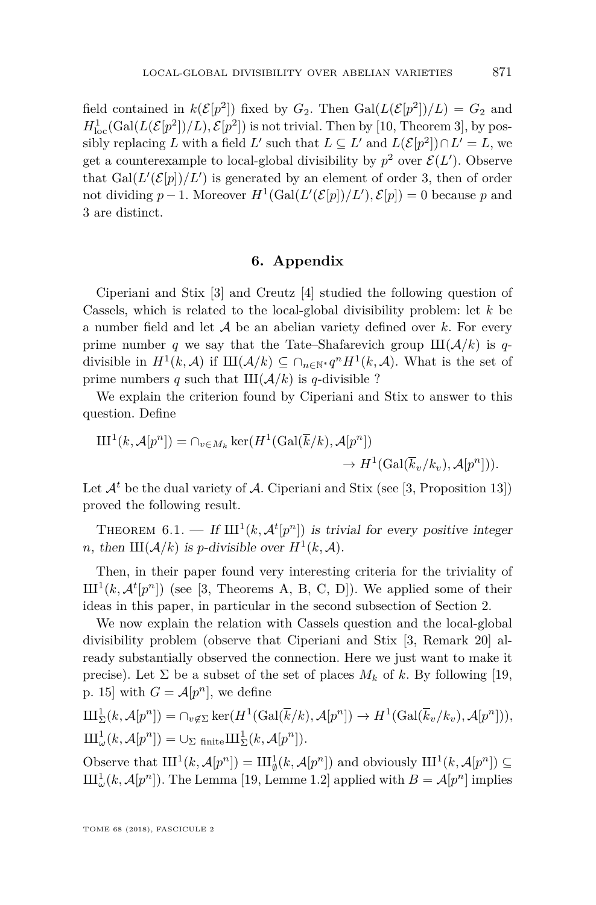field contained in  $k(\mathcal{E}[p^2])$  fixed by  $G_2$ . Then  $Gal(L(\mathcal{E}[p^2])/L) = G_2$  and  $H_{\text{loc}}^1(\text{Gal}(L(\mathcal{E}[p^2])/L), \mathcal{E}[p^2])$  is not trivial. Then by [\[10,](#page-26-2) Theorem 3], by possibly replacing *L* with a field *L'* such that  $L \subseteq L'$  and  $L(\mathcal{E}[p^2]) \cap L' = L$ , we get a counterexample to local-global divisibility by  $p^2$  over  $\mathcal{E}(L')$ . Observe that  $Gal(L'(\mathcal{E}[p])/L')$  is generated by an element of order 3, then of order not dividing  $p-1$ . Moreover  $H^1(\text{Gal}(L'(\mathcal{E}[p])/L'), \mathcal{E}[p]) = 0$  because  $p$  and 3 are distinct.

#### **6. Appendix**

Ciperiani and Stix [\[3\]](#page-26-3) and Creutz [\[4\]](#page-26-6) studied the following question of Cassels, which is related to the local-global divisibility problem: let *k* be a number field and let A be an abelian variety defined over *k*. For every prime number *q* we say that the Tate–Shafarevich group  $III(\mathcal{A}/k)$  is *q*divisible in  $H^1(k, \mathcal{A})$  if  $\text{III}(\mathcal{A}/k) \subseteq \bigcap_{n \in \mathbb{N}^*} q^n H^1(k, \mathcal{A})$ . What is the set of prime numbers *q* such that  $III(\mathcal{A}/k)$  is *q*-divisible ?

We explain the criterion found by Ciperiani and Stix to answer to this question. Define

$$
\mathrm{III}^1(k, \mathcal{A}[p^n]) = \cap_{v \in M_k} \ker(H^1(\mathrm{Gal}(\overline{k}/k), \mathcal{A}[p^n])
$$

$$
\to H^1(\mathrm{Gal}(\overline{k}_v/k_v), \mathcal{A}[p^n])).
$$

Let  $\mathcal{A}^t$  be the dual variety of  $\mathcal{A}$ . Ciperiani and Stix (see [\[3,](#page-26-3) Proposition 13]) proved the following result.

<span id="page-25-0"></span>THEOREM 6.1. — If  $\text{III}^1(k, \mathcal{A}^t[p^n])$  is trivial for every positive integer *n*, then  $III(\mathcal{A}/k)$  is *p*-divisible over  $H^1(k, \mathcal{A})$ .

Then, in their paper found very interesting criteria for the triviality of  $\text{III}^1(k, \mathcal{A}^t[p^n])$  (see [\[3,](#page-26-3) Theorems A, B, C, D]). We applied some of their ideas in this paper, in particular in the second subsection of Section [2.](#page-5-0)

We now explain the relation with Cassels question and the local-global divisibility problem (observe that Ciperiani and Stix [\[3,](#page-26-3) Remark 20] already substantially observed the connection. Here we just want to make it precise). Let  $\Sigma$  be a subset of the set of places  $M_k$  of  $k$ . By following [\[19,](#page-27-10) p. 15] with  $G = \mathcal{A}[p^n]$ , we define

$$
\mathrm{III}_{\Sigma}^{1}(k, \mathcal{A}[p^{n}]) = \cap_{v \notin \Sigma} \ker(H^{1}(\mathrm{Gal}(\overline{k}/k), \mathcal{A}[p^{n}]) \to H^{1}(\mathrm{Gal}(\overline{k}_{v}/k_{v}), \mathcal{A}[p^{n}])),
$$
  

$$
\mathrm{III}_{\omega}^{1}(k, \mathcal{A}[p^{n}]) = \cup_{\Sigma \text{ finite}} \mathrm{III}_{\Sigma}^{1}(k, \mathcal{A}[p^{n}]).
$$

Observe that  $\mathrm{III}^1(k, \mathcal{A}[p^n]) = \mathrm{III}^1_{\emptyset}(k, \mathcal{A}[p^n])$  and obviously  $\mathrm{III}^1(k, \mathcal{A}[p^n]) \subseteq$  $\text{III}^1_\omega(k, \mathcal{A}[p^n])$ . The Lemma [\[19,](#page-27-10) Lemme 1.2] applied with  $B = \mathcal{A}[p^n]$  implies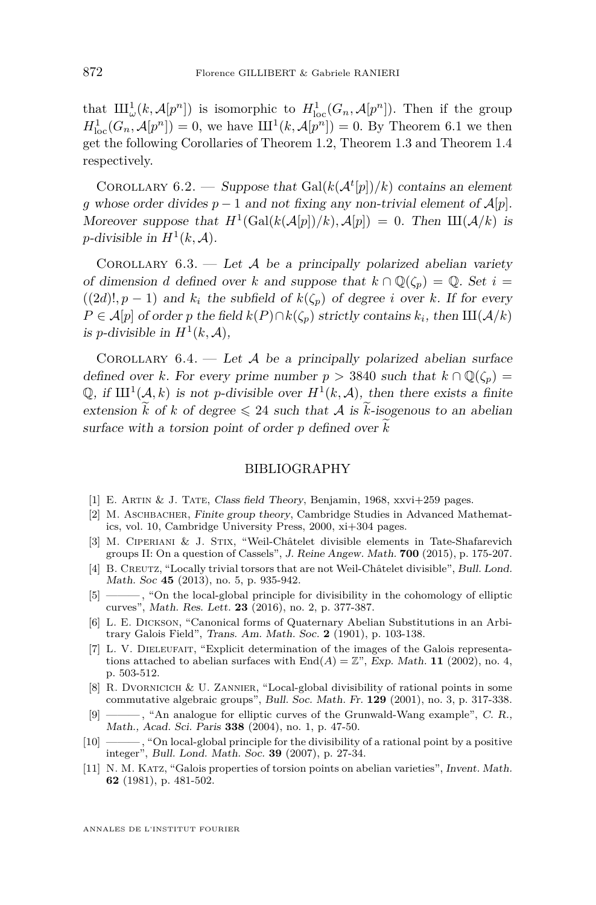that  $\text{III}^1_\omega(k, \mathcal{A}[p^n])$  is isomorphic to  $H^1_{\text{loc}}(G_n, \mathcal{A}[p^n])$ . Then if the group  $H_{\text{loc}}^1(G_n, \mathcal{A}[p^n]) = 0$ , we have  $III^1(k, \mathcal{A}[p^n]) = 0$ . By Theorem [6.1](#page-25-0) we then get the following Corollaries of Theorem [1.2,](#page-3-0) Theorem [1.3](#page-3-1) and Theorem [1.4](#page-4-0) respectively.

COROLLARY 6.2. — Suppose that  $Gal(k(\mathcal{A}^t[p])/k)$  contains an element *g* whose order divides  $p-1$  and not fixing any non-trivial element of  $\mathcal{A}[p]$ . Moreover suppose that  $H^1(\text{Gal}(k(\mathcal{A}[p])/k), \mathcal{A}[p]) = 0$ . Then  $\text{III}(\mathcal{A}/k)$  is *p*-divisible in  $H^1(k, \mathcal{A})$ .

COROLLARY  $6.3.$  — Let A be a principally polarized abelian variety of dimension *d* defined over *k* and suppose that  $k \cap \mathbb{Q}(\zeta_n) = \mathbb{Q}$ . Set  $i =$  $((2d)!$ ,  $p-1)$  and  $k_i$  the subfield of  $k(\zeta_p)$  of degree *i* over *k*. If for every *P* ∈ *A*[*p*] of order *p* the field *k*(*P*)∩*k*( $\zeta$ <sup>*p*</sup>) strictly contains *k*<sub>*i*</sub>, then III( $\mathcal{A}/k$ ) is *p*-divisible in  $H^1(k, \mathcal{A})$ ,

COROLLARY  $6.4.$  — Let A be a principally polarized abelian surface defined over *k*. For every prime number  $p > 3840$  such that  $k \cap \mathbb{O}(\zeta_p) =$ Q, if  $III^1(\mathcal{A}, k)$  is not *p*-divisible over  $H^1(k, \mathcal{A})$ , then there exists a finite extension  $\tilde{k}$  of  $k$  of degree  $\leq 24$  such that A is  $\tilde{k}$ -isogenous to an abelian surface with a torsion point of order  $p$  defined over  $k$ 

#### BIBLIOGRAPHY

- <span id="page-26-0"></span>[1] E. Artin & J. Tate, Class field Theory, Benjamin, 1968, xxvi+259 pages.
- <span id="page-26-7"></span>[2] M. Aschbacher, Finite group theory, Cambridge Studies in Advanced Mathematics, vol. 10, Cambridge University Press, 2000, xi+304 pages.
- <span id="page-26-3"></span>[3] M. Ciperiani & J. Stix, "Weil-Châtelet divisible elements in Tate-Shafarevich groups II: On a question of Cassels", J. Reine Angew. Math. **700** (2015), p. 175-207.
- <span id="page-26-6"></span>[4] B. CREUTZ, "Locally trivial torsors that are not Weil-Châtelet divisible", Bull. Lond. Math. Soc **45** (2013), no. 5, p. 935-942.
- <span id="page-26-4"></span>[5] ———, "On the local-global principle for divisibility in the cohomology of elliptic curves", Math. Res. Lett. **23** (2016), no. 2, p. 377-387.
- <span id="page-26-9"></span>[6] L. E. Dickson, "Canonical forms of Quaternary Abelian Substitutions in an Arbitrary Galois Field", Trans. Am. Math. Soc. **2** (1901), p. 103-138.
- <span id="page-26-8"></span>[7] L. V. DIELEUFAIT, "Explicit determination of the images of the Galois representations attached to abelian surfaces with  $End(A) = \mathbb{Z}^n$ , Exp. Math. **11** (2002), no. 4, p. 503-512.
- <span id="page-26-1"></span>[8] R. Dvornicich & U. Zannier, "Local-global divisibility of rational points in some commutative algebraic groups", Bull. Soc. Math. Fr. **129** (2001), no. 3, p. 317-338.
- <span id="page-26-5"></span>[9] ——— , "An analogue for elliptic curves of the Grunwald-Wang example", C. R., Math., Acad. Sci. Paris **338** (2004), no. 1, p. 47-50.
- <span id="page-26-2"></span>[10] ——— , "On local-global principle for the divisibility of a rational point by a positive integer", Bull. Lond. Math. Soc. **39** (2007), p. 27-34.
- <span id="page-26-10"></span>[11] N. M. Katz, "Galois properties of torsion points on abelian varieties", Invent. Math. **62** (1981), p. 481-502.